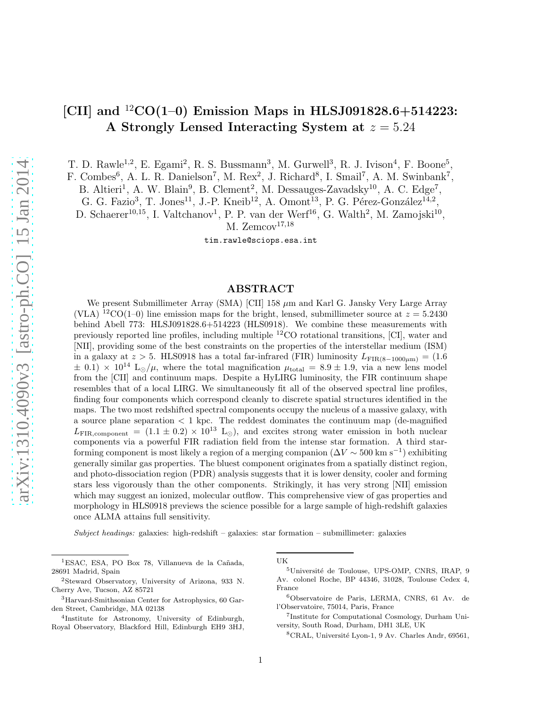# [CII] and  ${}^{12}CO(1-0)$  Emission Maps in HLSJ091828.6+514223: A Strongly Lensed Interacting System at  $z = 5.24$

T. D. Rawle<sup>1,2</sup>, E. Egami<sup>2</sup>, R. S. Bussmann<sup>3</sup>, M. Gurwell<sup>3</sup>, R. J. Ivison<sup>4</sup>, F. Boone<sup>5</sup>,

F. Combes<sup>6</sup>, A. L. R. Danielson<sup>7</sup>, M. Rex<sup>2</sup>, J. Richard<sup>8</sup>, I. Smail<sup>7</sup>, A. M. Swinbank<sup>7</sup>,

B. Altieri<sup>1</sup>, A. W. Blain<sup>9</sup>, B. Clement<sup>2</sup>, M. Dessauges-Zavadsky<sup>10</sup>, A. C. Edge<sup>7</sup>,

G. G. Fazio<sup>3</sup>, T. Jones<sup>11</sup>, J.-P. Kneib<sup>12</sup>, A. Omont<sup>13</sup>, P. G. Pérez-González<sup>14,2</sup>,

D. Schaerer<sup>10,15</sup>, I. Valtchanov<sup>1</sup>, P. P. van der Werf<sup>16</sup>, G. Walth<sup>2</sup>, M. Zamojski<sup>10</sup>,

M. Zemcov $17,18$ 

tim.rawle@sciops.esa.int

# ABSTRACT

We present Submillimeter Array (SMA)  $\text{[CII]}$  158  $\mu$ m and Karl G. Jansky Very Large Array (VLA) <sup>12</sup>CO(1–0) line emission maps for the bright, lensed, submillimeter source at  $z = 5.2430$ behind Abell 773: HLSJ091828.6+514223 (HLS0918). We combine these measurements with previously reported line profiles, including multiple <sup>12</sup>CO rotational transitions, [CI], water and [NII], providing some of the best constraints on the properties of the interstellar medium (ISM) in a galaxy at  $z > 5$ . HLS0918 has a total far-infrared (FIR) luminosity  $L_{\text{FIR}(8-1000\mu\text{m})} = (1.6$  $\pm$  0.1)  $\times$  10<sup>14</sup> L<sub>⊙</sub>/ $\mu$ , where the total magnification  $\mu_{\text{total}} = 8.9 \pm 1.9$ , via a new lens model from the [CII] and continuum maps. Despite a HyLIRG luminosity, the FIR continuum shape resembles that of a local LIRG. We simultaneously fit all of the observed spectral line profiles, finding four components which correspond cleanly to discrete spatial structures identified in the maps. The two most redshifted spectral components occupy the nucleus of a massive galaxy, with a source plane separation < 1 kpc. The reddest dominates the continuum map (de-magnified  $L_{\text{FIR,component}} = (1.1 \pm 0.2) \times 10^{13} \text{ L}_{\odot}$ , and excites strong water emission in both nuclear components via a powerful FIR radiation field from the intense star formation. A third starforming component is most likely a region of a merging companion ( $\Delta V \sim 500 \text{ km s}^{-1}$ ) exhibiting generally similar gas properties. The bluest component originates from a spatially distinct region, and photo-dissociation region (PDR) analysis suggests that it is lower density, cooler and forming stars less vigorously than the other components. Strikingly, it has very strong [NII] emission which may suggest an ionized, molecular outflow. This comprehensive view of gas properties and morphology in HLS0918 previews the science possible for a large sample of high-redshift galaxies once ALMA attains full sensitivity.

 $Subject \, headings:$  galaxies: high-redshift – galaxies: star formation – submillimeter: galaxies

UK

<sup>8</sup>CRAL, Université Lyon-1, 9 Av. Charles Andr, 69561,

<sup>&</sup>lt;sup>1</sup>ESAC, ESA, PO Box 78, Villanueva de la Cañada, 28691 Madrid, Spain

<sup>2</sup>Steward Observatory, University of Arizona, 933 N. Cherry Ave, Tucson, AZ 85721

<sup>3</sup>Harvard-Smithsonian Center for Astrophysics, 60 Garden Street, Cambridge, MA 02138

<sup>4</sup> Institute for Astronomy, University of Edinburgh, Royal Observatory, Blackford Hill, Edinburgh EH9 3HJ,

<sup>&</sup>lt;sup>5</sup>Université de Toulouse, UPS-OMP, CNRS, IRAP, 9 Av. colonel Roche, BP 44346, 31028, Toulouse Cedex 4, France

<sup>6</sup>Observatoire de Paris, LERMA, CNRS, 61 Av. de l'Observatoire, 75014, Paris, France

<sup>7</sup> Institute for Computational Cosmology, Durham University, South Road, Durham, DH1 3LE, UK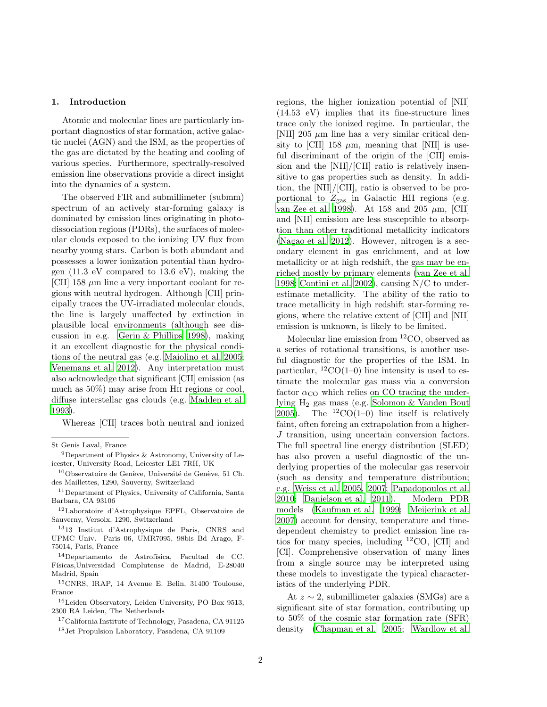## 1. Introduction

Atomic and molecular lines are particularly important diagnostics of star formation, active galactic nuclei (AGN) and the ISM, as the properties of the gas are dictated by the heating and cooling of various species. Furthermore, spectrally-resolved emission line observations provide a direct insight into the dynamics of a system.

The observed FIR and submillimeter (submm) spectrum of an actively star-forming galaxy is dominated by emission lines originating in photodissociation regions (PDRs), the surfaces of molecular clouds exposed to the ionizing UV flux from nearby young stars. Carbon is both abundant and possesses a lower ionization potential than hydrogen (11.3 eV compared to 13.6 eV), making the [CII] 158  $\mu$ m line a very important coolant for regions with neutral hydrogen. Although [CII] principally traces the UV-irradiated molecular clouds, the line is largely unaffected by extinction in plausible local environments (although see discussion in e.g. [Gerin & Phillips 1998\)](#page-25-0), making it an excellent diagnostic for the physical conditions of the neutral gas (e.g. [Maiolino et al. 2005;](#page-26-0) [Venemans et al. 2012](#page-27-0)). Any interpretation must also acknowledge that significant [CII] emission (as much as 50%) may arise from Hii regions or cool, diffuse interstellar gas clouds (e.g. [Madden et al.](#page-26-1) [1993\)](#page-26-1).

Whereas [CII] traces both neutral and ionized

<sup>15</sup>CNRS, IRAP, 14 Avenue E. Belin, 31400 Toulouse, France

<sup>16</sup>Leiden Observatory, Leiden University, PO Box 9513, 2300 RA Leiden, The Netherlands

<sup>17</sup>California Institute of Technology, Pasadena, CA 91125

regions, the higher ionization potential of [NII] (14.53 eV) implies that its fine-structure lines trace only the ionized regime. In particular, the [NII] 205  $\mu$ m line has a very similar critical density to [CII] 158  $\mu$ m, meaning that [NII] is useful discriminant of the origin of the [CII] emission and the [NII]/[CII] ratio is relatively insensitive to gas properties such as density. In addition, the [NII]/[CII], ratio is observed to be proportional to  $Z_{\text{gas}}$  in Galactic HII regions (e.g. [van Zee et al. 1998](#page-27-1)). At 158 and 205  $\mu$ m, [CII] and [NII] emission are less susceptible to absorption than other traditional metallicity indicators [\(Nagao et al. 2012\)](#page-26-2). However, nitrogen is a secondary element in gas enrichment, and at low metallicity or at high redshift, the gas may be enriched mostly by primary elements [\(van Zee et al.](#page-27-1) [1998;](#page-27-1) [Contini et al. 2002\)](#page-25-1), causing N/C to underestimate metallicity. The ability of the ratio to trace metallicity in high redshift star-forming regions, where the relative extent of [CII] and [NII] emission is unknown, is likely to be limited.

Molecular line emission from <sup>12</sup>CO, observed as a series of rotational transitions, is another useful diagnostic for the properties of the ISM. In particular,  ${}^{12}CO(1-0)$  line intensity is used to estimate the molecular gas mass via a conversion factor  $\alpha_{\rm CO}$  which relies on CO tracing the underlying H<sup>2</sup> gas mass (e.g. [Solomon & Vanden Bout](#page-27-2) [2005\)](#page-27-2). The  ${}^{12}CO(1-0)$  line itself is relatively faint, often forcing an extrapolation from a higher-J transition, using uncertain conversion factors. The full spectral line energy distribution (SLED) has also proven a useful diagnostic of the underlying properties of the molecular gas reservoir (such as density and temperature distribution; e.g. [Weiss et al. 2005,](#page-27-3) [2007;](#page-27-4) [Papadopoulos et al.](#page-26-3) [2010;](#page-26-3) [Danielson et al. 2011\)](#page-25-2). Modern PDR models [\(Kaufman et al. 1999](#page-26-4); [Meijerink et al.](#page-26-5) [2007\)](#page-26-5) account for density, temperature and timedependent chemistry to predict emission line ratios for many species, including <sup>12</sup>CO, [CII] and [CI]. Comprehensive observation of many lines from a single source may be interpreted using these models to investigate the typical characteristics of the underlying PDR.

At z ∼ 2, submillimeter galaxies (SMGs) are a significant site of star formation, contributing up to 50% of the cosmic star formation rate (SFR) density [\(Chapman et al. 2005;](#page-25-3) [Wardlow et al.](#page-27-5)

St Genis Laval, France

<sup>&</sup>lt;sup>9</sup>Department of Physics & Astronomy, University of Leicester, University Road, Leicester LE1 7RH, UK

 $10$ Observatoire de Genève, Université de Genève, 51 Ch. des Maillettes, 1290, Sauverny, Switzerland

<sup>11</sup>Department of Physics, University of California, Santa Barbara, CA 93106

<sup>12</sup>Laboratoire d'Astrophysique EPFL, Observatoire de Sauverny, Versoix, 1290, Switzerland

<sup>13</sup>13 Institut d'Astrophysique de Paris, CNRS and UPMC Univ. Paris 06, UMR7095, 98bis Bd Arago, F-75014, Paris, France

 $14$ Departamento de Astrofísica, Facultad de CC. Físicas,Universidad Complutense de Madrid, E-28040 Madrid, Spain

<sup>18</sup>Jet Propulsion Laboratory, Pasadena, CA 91109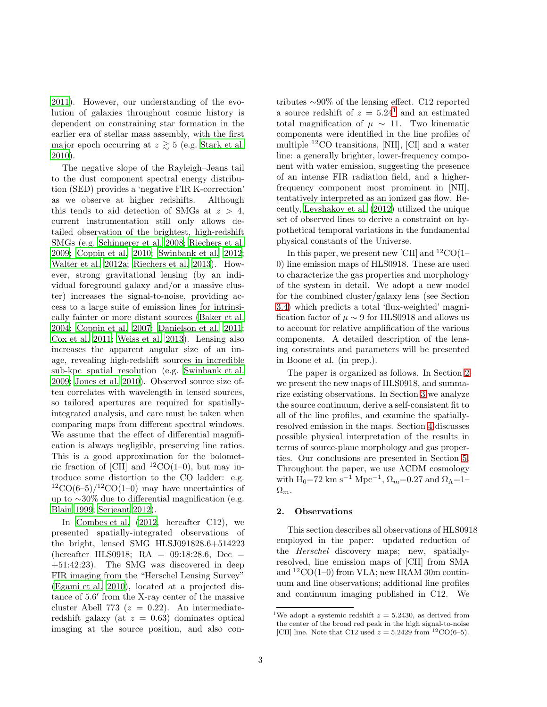[2011\)](#page-27-5). However, our understanding of the evolution of galaxies throughout cosmic history is dependent on constraining star formation in the earlier era of stellar mass assembly, with the first major epoch occurring at  $z \gtrsim 5$  (e.g. [Stark et al.](#page-27-6) [2010\)](#page-27-6).

The negative slope of the Rayleigh–Jeans tail to the dust component spectral energy distribution (SED) provides a 'negative FIR K-correction' as we observe at higher redshifts. Although this tends to aid detection of SMGs at  $z > 4$ , current instrumentation still only allows detailed observation of the brightest, high-redshift SMGs (e.g. [Schinnerer et al. 2008](#page-27-7); [Riechers et al.](#page-26-6) [2009;](#page-26-6) [Coppin et al. 2010;](#page-25-4) [Swinbank et al. 2012;](#page-27-8) [Walter et al. 2012a;](#page-27-9) [Riechers et al. 2013\)](#page-26-7). However, strong gravitational lensing (by an individual foreground galaxy and/or a massive cluster) increases the signal-to-noise, providing access to a large suite of emission lines for intrinsically fainter or more distant sources [\(Baker et al.](#page-24-0) [2004;](#page-24-0) [Coppin et al. 2007;](#page-25-5) [Danielson et al. 2011;](#page-25-2) [Cox et al. 2011;](#page-25-6) [Weiss et al. 2013\)](#page-27-10). Lensing also increases the apparent angular size of an image, revealing high-redshift sources in incredible sub-kpc spatial resolution (e.g. [Swinbank et al.](#page-27-11) [2009;](#page-27-11) [Jones et al. 2010\)](#page-26-8). Observed source size often correlates with wavelength in lensed sources, so tailored apertures are required for spatiallyintegrated analysis, and care must be taken when comparing maps from different spectral windows. We assume that the effect of differential magnification is always negligible, preserving line ratios. This is a good approximation for the bolometric fraction of [CII] and  ${}^{12}CO(1-0)$ , but may introduce some distortion to the CO ladder: e.g.  $12CO(6-5)/12CO(1-0)$  may have uncertainties of up to ∼30% due to differential magnification (e.g. [Blain 1999;](#page-25-7) [Serjeant 2012\)](#page-27-12).

In [Combes et al. \(2012,](#page-25-8) hereafter C12), we presented spatially-integrated observations of the bright, lensed SMG HLSJ091828.6+514223 (hereafter HLS0918; RA = 09:18:28.6, Dec = +51:42:23). The SMG was discovered in deep FIR imaging from the "Herschel Lensing Survey" [\(Egami et al. 2010\)](#page-25-9), located at a projected distance of 5.6′ from the X-ray center of the massive cluster Abell 773 ( $z = 0.22$ ). An intermediateredshift galaxy (at  $z = 0.63$ ) dominates optical imaging at the source position, and also contributes ∼90% of the lensing effect. C12 reported a source redshift of  $z = 5.24<sup>1</sup>$  $z = 5.24<sup>1</sup>$  $z = 5.24<sup>1</sup>$  and an estimated total magnification of  $\mu \sim 11$ . Two kinematic components were identified in the line profiles of multiple <sup>12</sup>CO transitions, [NII], [CI] and a water line: a generally brighter, lower-frequency component with water emission, suggesting the presence of an intense FIR radiation field, and a higherfrequency component most prominent in [NII], tentatively interpreted as an ionized gas flow. Recently, [Levshakov et al. \(2012\)](#page-26-9) utilized the unique set of observed lines to derive a constraint on hypothetical temporal variations in the fundamental physical constants of the Universe.

In this paper, we present new [CII] and <sup>12</sup>CO(1– 0) line emission maps of HLS0918. These are used to characterize the gas properties and morphology of the system in detail. We adopt a new model for the combined cluster/galaxy lens (see Section [3.4\)](#page-12-0) which predicts a total 'flux-weighted' magnification factor of  $\mu \sim 9$  for HLS0918 and allows us to account for relative amplification of the various components. A detailed description of the lensing constraints and parameters will be presented in Boone et al. (in prep.).

The paper is organized as follows. In Section [2](#page-2-1) we present the new maps of HLS0918, and summarize existing observations. In Section [3](#page-5-0) we analyze the source continuum, derive a self-consistent fit to all of the line profiles, and examine the spatiallyresolved emission in the maps. Section [4](#page-13-0) discusses possible physical interpretation of the results in terms of source-plane morphology and gas properties. Our conclusions are presented in Section [5.](#page-23-0) Throughout the paper, we use ΛCDM cosmology with  $H_0$ =72 km s<sup>-1</sup> Mpc<sup>-1</sup>,  $\Omega_m$ =0.27 and  $\Omega_{\Lambda}$ =1- $\Omega_m$ .

#### <span id="page-2-1"></span>2. Observations

This section describes all observations of HLS0918 employed in the paper: updated reduction of the *Herschel* discovery maps; new, spatiallyresolved, line emission maps of [CII] from SMA and  ${}^{12}CO(1-0)$  from VLA; new IRAM 30m continuum and line observations; additional line profiles and continuum imaging published in C12. We

<span id="page-2-0"></span><sup>&</sup>lt;sup>1</sup>We adopt a systemic redshift  $z = 5.2430$ , as derived from the center of the broad red peak in the high signal-to-noise [CII] line. Note that C12 used  $z = 5.2429$  from <sup>12</sup>CO(6-5).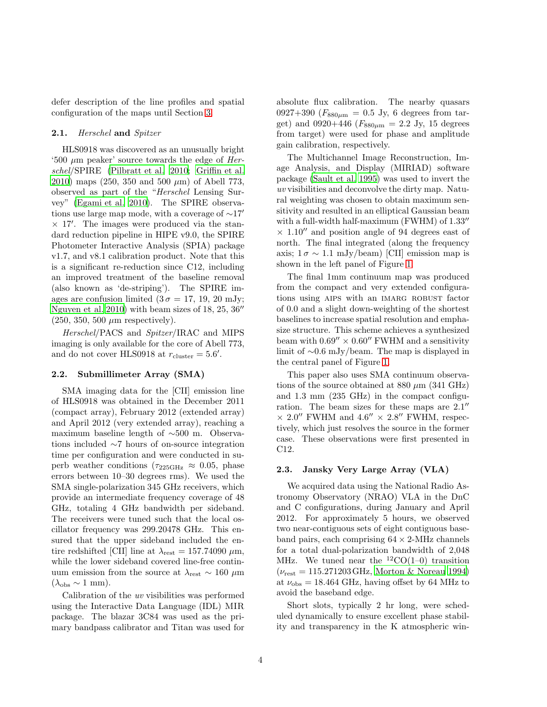defer description of the line profiles and spatial configuration of the maps until Section [3.](#page-5-0)

## 2.1. Herschel and Spitzer

HLS0918 was discovered as an unusually bright '500  $\mu$ m peaker' source towards the edge of Herschel/SPIRE [\(Pilbratt et al. 2010;](#page-26-10) [Griffin et al.](#page-25-10) [2010\)](#page-25-10) maps (250, 350 and 500  $\mu$ m) of Abell 773, observed as part of the "Herschel Lensing Survey" [\(Egami et al. 2010\)](#page-25-9). The SPIRE observations use large map mode, with a coverage of ∼17′ × 17′ . The images were produced via the standard reduction pipeline in HIPE v9.0, the SPIRE Photometer Interactive Analysis (SPIA) package v1.7, and v8.1 calibration product. Note that this is a significant re-reduction since C12, including an improved treatment of the baseline removal (also known as 'de-striping'). The SPIRE images are confusion limited  $(3 \sigma = 17, 19, 20 \text{ mJy};$ [Nguyen et al. 2010\)](#page-26-11) with beam sizes of 18, 25, 36′′  $(250, 350, 500 \mu m$  respectively).

Herschel/PACS and Spitzer/IRAC and MIPS imaging is only available for the core of Abell 773, and do not cover HLS0918 at  $r_{\text{cluster}} = 5.6'$ .

## 2.2. Submillimeter Array (SMA)

SMA imaging data for the [CII] emission line of HLS0918 was obtained in the December 2011 (compact array), February 2012 (extended array) and April 2012 (very extended array), reaching a maximum baseline length of ∼500 m. Observations included ∼7 hours of on-source integration time per configuration and were conducted in superb weather conditions ( $\tau_{225\text{GHz}} \approx 0.05$ , phase errors between 10–30 degrees rms). We used the SMA single-polarization 345 GHz receivers, which provide an intermediate frequency coverage of 48 GHz, totaling 4 GHz bandwidth per sideband. The receivers were tuned such that the local oscillator frequency was 299.20478 GHz. This ensured that the upper sideband included the entire redshifted [CII] line at  $\lambda_{\text{rest}} = 157.74090 \ \mu \text{m}$ , while the lower sideband covered line-free continuum emission from the source at  $\lambda_{\text{rest}} \sim 160 \ \mu \text{m}$  $(\lambda_{\rm obs} \sim 1 \text{ mm}).$ 

Calibration of the uv visibilities was performed using the Interactive Data Language (IDL) MIR package. The blazar 3C84 was used as the primary bandpass calibrator and Titan was used for absolute flux calibration. The nearby quasars 0927+390 ( $F_{880\mu m} = 0.5$  Jy, 6 degrees from target) and 0920+446 ( $F_{880\mu m} = 2.2$  Jy, 15 degrees from target) were used for phase and amplitude gain calibration, respectively.

The Multichannel Image Reconstruction, Image Analysis, and Display (MIRIAD) software package [\(Sault et al. 1995\)](#page-27-13) was used to invert the uv visibilities and deconvolve the dirty map. Natural weighting was chosen to obtain maximum sensitivity and resulted in an elliptical Gaussian beam with a full-width half-maximum (FWHM) of  $1.33''$  $\times$  1.10<sup>"</sup> and position angle of 94 degrees east of north. The final integrated (along the frequency axis;  $1\sigma \sim 1.1$  mJy/beam) [CII] emission map is shown in the left panel of Figure [1.](#page-4-0)

The final 1mm continuum map was produced from the compact and very extended configurations using AIPS with an IMARG ROBUST factor of 0.0 and a slight down-weighting of the shortest baselines to increase spatial resolution and emphasize structure. This scheme achieves a synthesized beam with  $0.69'' \times 0.60''$  FWHM and a sensitivity limit of ∼0.6 mJy/beam. The map is displayed in the central panel of Figure [1.](#page-4-0)

This paper also uses SMA continuum observations of the source obtained at 880  $\mu$ m (341 GHz) and 1.3 mm (235 GHz) in the compact configuration. The beam sizes for these maps are 2.1′′  $\times$  2.0" FWHM and 4.6"  $\times$  2.8" FWHM, respectively, which just resolves the source in the former case. These observations were first presented in C12.

## 2.3. Jansky Very Large Array (VLA)

We acquired data using the National Radio Astronomy Observatory (NRAO) VLA in the DnC and C configurations, during January and April 2012. For approximately 5 hours, we observed two near-contiguous sets of eight contiguous baseband pairs, each comprising  $64 \times 2$ -MHz channels for a total dual-polarization bandwidth of 2,048 MHz. We tuned near the  ${}^{12}CO(1-0)$  transition  $(\nu_{\text{rest}} = 115.271203 \text{ GHz}, \text{Morton} \& \text{Norean} 1994)$ at  $\nu_{\text{obs}} = 18.464 \text{ GHz}$ , having offset by 64 MHz to avoid the baseband edge.

Short slots, typically 2 hr long, were scheduled dynamically to ensure excellent phase stability and transparency in the K atmospheric win-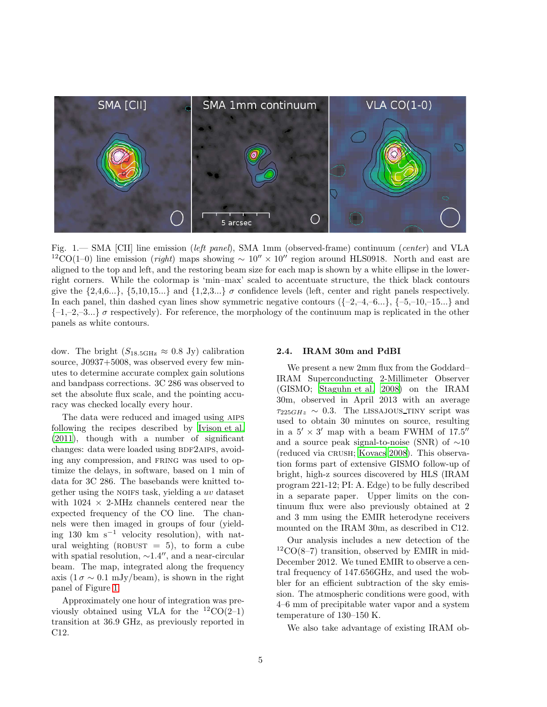

<span id="page-4-0"></span>Fig. 1.— SMA [CII] line emission (left panel), SMA 1mm (observed-frame) continuum (center) and VLA <sup>12</sup>CO(1–0) line emission (*right*) maps showing  $\sim 10'' \times 10''$  region around HLS0918. North and east are aligned to the top and left, and the restoring beam size for each map is shown by a white ellipse in the lowerright corners. While the colormap is 'min–max' scaled to accentuate structure, the thick black contours give the  $\{2,4,6...\}$ ,  $\{5,10,15...\}$  and  $\{1,2,3...\}$   $\sigma$  confidence levels (left, center and right panels respectively. In each panel, thin dashed cyan lines show symmetric negative contours  $({-2,-4,-6...}, {-5,-10,-15...}$  and  ${-1,-2,-3...} \sigma$  respectively). For reference, the morphology of the continuum map is replicated in the other panels as white contours.

dow. The bright  $(S_{18.5\text{GHz}} \approx 0.8 \text{ Jy})$  calibration source, J0937+5008, was observed every few minutes to determine accurate complex gain solutions and bandpass corrections. 3C 286 was observed to set the absolute flux scale, and the pointing accuracy was checked locally every hour.

The data were reduced and imaged using aips following the recipes described by [Ivison et al.](#page-25-11) [\(2011\)](#page-25-11), though with a number of significant changes: data were loaded using BDF2AIPS, avoiding any compression, and FRING was used to optimize the delays, in software, based on 1 min of data for 3C 286. The basebands were knitted together using the NOIFS task, yielding a  $uv$  dataset with  $1024 \times 2$ -MHz channels centered near the expected frequency of the CO line. The channels were then imaged in groups of four (yielding 130 km s<sup> $-1$ </sup> velocity resolution), with natural weighting (ROBUST  $= 5$ ), to form a cube with spatial resolution,  $\sim$ 1.4″, and a near-circular beam. The map, integrated along the frequency axis  $(1 \sigma \sim 0.1 \text{ mJy/beam})$ , is shown in the right panel of Figure [1.](#page-4-0)

Approximately one hour of integration was previously obtained using VLA for the  ${}^{12}CO(2-1)$ transition at 36.9 GHz, as previously reported in C12.

#### 2.4. IRAM 30m and PdBI

We present a new 2mm flux from the Goddard– IRAM Superconducting 2-Millimeter Observer (GISMO; [Staguhn et al. 2008\)](#page-27-14) on the IRAM 30m, observed in April 2013 with an average  $\tau_{225GHz} \sim 0.3$ . The LISSAJOUS\_TINY script was used to obtain 30 minutes on source, resulting in a  $5' \times 3'$  map with a beam FWHM of 17.5" and a source peak signal-to-noise (SNR) of ∼10 (reduced via crush; [Kovacs 2008\)](#page-26-13). This observation forms part of extensive GISMO follow-up of bright, high-z sources discovered by HLS (IRAM program 221-12; PI: A. Edge) to be fully described in a separate paper. Upper limits on the continuum flux were also previously obtained at 2 and 3 mm using the EMIR heterodyne receivers mounted on the IRAM 30m, as described in C12.

Our analysis includes a new detection of the  ${}^{12}CO(8-7)$  transition, observed by EMIR in mid-December 2012. We tuned EMIR to observe a central frequency of 147.656GHz, and used the wobbler for an efficient subtraction of the sky emission. The atmospheric conditions were good, with 4–6 mm of precipitable water vapor and a system temperature of 130–150 K.

We also take advantage of existing IRAM ob-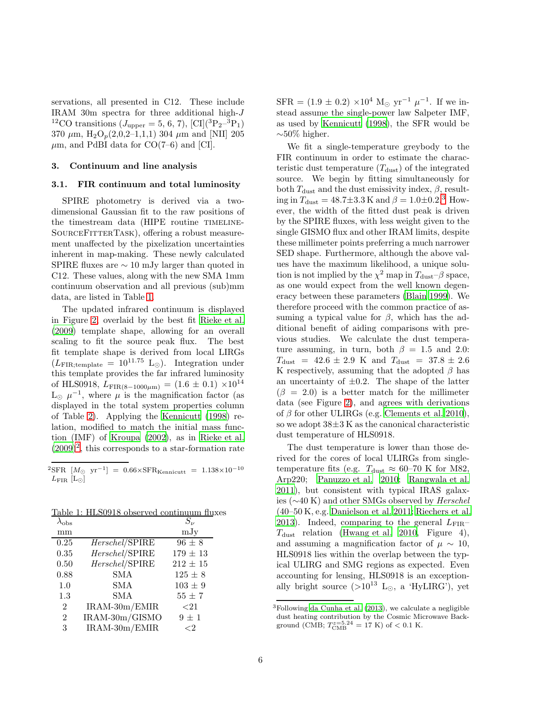servations, all presented in C12. These include IRAM 30m spectra for three additional high-J <sup>12</sup>CO transitions ( $J_{\text{upper}} = 5, 6, 7$ ), [CI](<sup>3</sup>P<sub>2</sub>-<sup>3</sup>P<sub>1</sub>) 370  $\mu$ m, H<sub>2</sub>O<sub>p</sub>(2,0,2–1,1,1) 304  $\mu$ m and [NII] 205  $\mu$ m, and PdBI data for CO(7–6) and [CI].

## <span id="page-5-4"></span><span id="page-5-0"></span>3. Continuum and line analysis

#### 3.1. FIR continuum and total luminosity

SPIRE photometry is derived via a twodimensional Gaussian fit to the raw positions of the timestream data (HIPE routine TIMELINE-SOURCEFITTERTASK), offering a robust measurement unaffected by the pixelization uncertainties inherent in map-making. These newly calculated SPIRE fluxes are ∼ 10 mJy larger than quoted in C12. These values, along with the new SMA 1mm continuum observation and all previous (sub)mm data, are listed in Table [1.](#page-5-1)

The updated infrared continuum is displayed in Figure [2,](#page-8-0) overlaid by the best fit [Rieke et al.](#page-26-14) [\(2009\)](#page-26-14) template shape, allowing for an overall scaling to fit the source peak flux. The best fit template shape is derived from local LIRGs  $(L_{\text{FIR;template}} = 10^{11.75} \text{ L}_{\odot}).$  Integration under this template provides the far infrared luminosity of HLS0918,  $L_{\text{FIR}(8-1000\mu\text{m})}$  =  $(1.6 \pm 0.1) \times 10^{14}$  $\mathcal{L}_{\odot}$   $\mu^{-1}$ , where  $\mu$  is the magnification factor (as displayed in the total system properties column of Table [2\)](#page-8-1). Applying the [Kennicutt \(1998\)](#page-26-15) relation, modified to match the initial mass function (IMF) of [Kroupa \(2002\)](#page-26-16), as in [Rieke et al.](#page-26-14)  $(2009)^2$  $(2009)^2$  $(2009)^2$ , this corresponds to a star-formation rate

<span id="page-5-2"></span> ${}^{2}\text{SFR}$  [M<sub>O</sub> yr<sup>-1</sup>] = 0.66×SFR<sub>Kennicutt</sub> = 1.138×10<sup>-10</sup>  $L_{\rm FIR}$  [L<sub>⊙</sub>]

|--|

<span id="page-5-1"></span>

|                |                | $S_{\nu}$    |
|----------------|----------------|--------------|
| mm             |                | mJy          |
| 0.25           | Herschel/SPIRE | $96 \pm 8$   |
| 0.35           | Herschel/SPIRE | $179 \pm 13$ |
| 0.50           | Herschel/SPIRE | $212 \pm 15$ |
| 0.88           | <b>SMA</b>     | $125 \pm 8$  |
| 1.0            | SMA            | $103 \pm 9$  |
| 1.3            | <b>SMA</b>     | $55 \pm 7$   |
| $\overline{2}$ | IRAM-30m/EMIR  | ${<}21$      |
| $\overline{2}$ | IRAM-30m/GISMO | $9 \pm 1$    |
| 3              | IRAM-30m/EMIR  | ${<}2$       |

 $SFR = (1.9 \pm 0.2) \times 10^4$  M<sub>☉</sub> yr<sup>-1</sup>  $\mu^{-1}$ . If we instead assume the single-power law Salpeter IMF, as used by [Kennicutt \(1998\)](#page-26-15), the SFR would be  $\sim$ 50% higher.

We fit a single-temperature greybody to the FIR continuum in order to estimate the characteristic dust temperature  $(T_{\text{dust}})$  of the integrated source. We begin by fitting simultaneously for both  $T_{\text{dust}}$  and the dust emissivity index,  $\beta$ , resulting in  $T_{\text{dust}} = 48.7 \pm 3.3 \,\text{K}$  $T_{\text{dust}} = 48.7 \pm 3.3 \,\text{K}$  $T_{\text{dust}} = 48.7 \pm 3.3 \,\text{K}$  and  $\beta = 1.0 \pm 0.2$ .<sup>3</sup> However, the width of the fitted dust peak is driven by the SPIRE fluxes, with less weight given to the single GISMO flux and other IRAM limits, despite these millimeter points preferring a much narrower SED shape. Furthermore, although the above values have the maximum likelihood, a unique solution is not implied by the  $\chi^2$  map in  $T_{\text{dust}}$ - $\beta$  space, as one would expect from the well known degeneracy between these parameters [\(Blain 1999\)](#page-25-7). We therefore proceed with the common practice of assuming a typical value for  $\beta$ , which has the additional benefit of aiding comparisons with previous studies. We calculate the dust temperature assuming, in turn, both  $\beta = 1.5$  and 2.0:  $T_{\text{dust}}$  = 42.6  $\pm$  2.9 K and  $T_{\text{dust}}$  = 37.8  $\pm$  2.6 K respectively, assuming that the adopted  $\beta$  has an uncertainty of  $\pm 0.2$ . The shape of the latter  $(\beta = 2.0)$  is a better match for the millimeter data (see Figure [2\)](#page-8-0), and agrees with derivations of  $\beta$  for other ULIRGs (e.g. [Clements et al. 2010\)](#page-25-12), so we adopt  $38\pm3$  K as the canonical characteristic dust temperature of HLS0918.

The dust temperature is lower than those derived for the cores of local ULIRGs from singletemperature fits (e.g.  $T_{\text{dust}} \approx 60$ –70 K for M82, Arp220; [Panuzzo et al. 2010](#page-26-17); [Rangwala et al.](#page-26-18) [2011\)](#page-26-18), but consistent with typical IRAS galaxies (∼40 K) and other SMGs observed by Herschel (40–50 K, e.g. [Danielson et al. 2011;](#page-25-2) [Riechers et al.](#page-26-7) [2013\)](#page-26-7). Indeed, comparing to the general  $L_{\text{FIR}} T_{\text{dust}}$  relation [\(Hwang et al. 2010,](#page-25-13) Figure 4), and assuming a magnification factor of  $\mu \sim 10$ , HLS0918 lies within the overlap between the typical ULIRG and SMG regions as expected. Even accounting for lensing, HLS0918 is an exceptionally bright source  $(>10^{13}$  L<sub>⊙</sub>, a 'HyLIRG'), yet

<span id="page-5-3"></span> ${}^{3}$ Following [da Cunha et al. \(2013](#page-25-14)), we calculate a negligible dust heating contribution by the Cosmic Microwave Background (CMB;  $T_{\text{CMB}}^{z=5.24} = 17 \text{ K}$ ) of  $< 0.1 \text{ K}$ .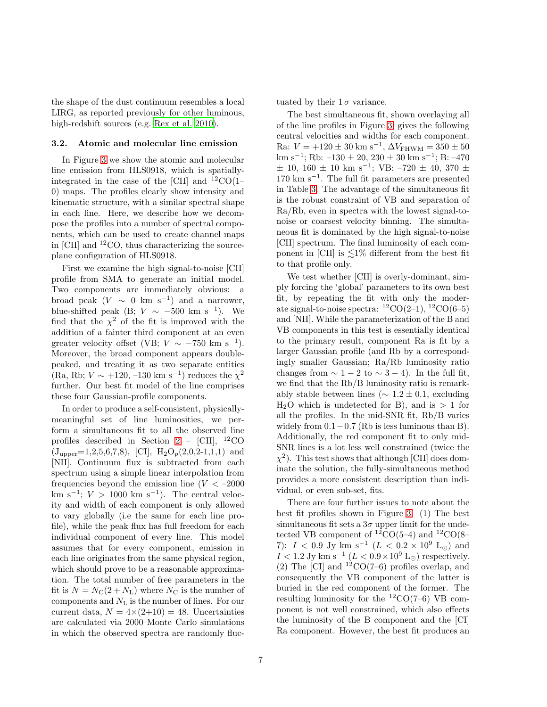the shape of the dust continuum resembles a local LIRG, as reported previously for other luminous, high-redshift sources (e.g. [Rex et al. 2010\)](#page-26-19).

#### <span id="page-6-0"></span>3.2. Atomic and molecular line emission

In Figure [3](#page-7-0) we show the atomic and molecular line emission from HLS0918, which is spatiallyintegrated in the case of the [CII] and  $^{12}CO(1-$ 0) maps. The profiles clearly show intensity and kinematic structure, with a similar spectral shape in each line. Here, we describe how we decompose the profiles into a number of spectral components, which can be used to create channel maps in [CII] and  ${}^{12}CO$ , thus characterizing the sourceplane configuration of HLS0918.

First we examine the high signal-to-noise [CII] profile from SMA to generate an initial model. Two components are immediately obvious: a broad peak  $(V \sim 0 \text{ km s}^{-1})$  and a narrower, blue-shifted peak (B;  $V \sim -500 \text{ km s}^{-1}$ ). We find that the  $\chi^2$  of the fit is improved with the addition of a fainter third component at an even greater velocity offset (VB;  $V \sim -750$  km s<sup>-1</sup>). Moreover, the broad component appears doublepeaked, and treating it as two separate entities (Ra, Rb;  $V \sim +120, -130$  km s<sup>-1</sup>) reduces the  $\chi^2$ further. Our best fit model of the line comprises these four Gaussian-profile components.

In order to produce a self-consistent, physicallymeaningful set of line luminosities, we perform a simultaneous fit to all the observed line profiles described in Section [2](#page-2-1) – [CII],  $^{12}CO$  $(J_{\text{upper}}=1,2,5,6,7,8),$  [CI],  $H_2O_p(2,0,2-1,1,1)$  and [NII]. Continuum flux is subtracted from each spectrum using a simple linear interpolation from frequencies beyond the emission line  $(V < -2000$ km s<sup>-1</sup>;  $V > 1000$  km s<sup>-1</sup>). The central velocity and width of each component is only allowed to vary globally (i.e the same for each line profile), while the peak flux has full freedom for each individual component of every line. This model assumes that for every component, emission in each line originates from the same physical region, which should prove to be a reasonable approximation. The total number of free parameters in the fit is  $N = N_{\rm C}(2 + N_{\rm L})$  where  $N_{\rm C}$  is the number of components and  $N_{\rm L}$  is the number of lines. For our current data,  $N = 4 \times (2+10) = 48$ . Uncertainties are calculated via 2000 Monte Carlo simulations in which the observed spectra are randomly fluc-

7

tuated by their  $1\sigma$  variance.

The best simultaneous fit, shown overlaying all of the line profiles in Figure [3,](#page-7-0) gives the following central velocities and widths for each component. Ra:  $V = +120 \pm 30$  km s<sup>-1</sup>,  $\Delta V_{\text{FHWM}} = 350 \pm 50$ km s<sup>-1</sup>; Rb:  $-130 \pm 20$ ,  $230 \pm 30$  km s<sup>-1</sup>; B:  $-470$  $\pm$  10, 160  $\pm$  10 km s<sup>-1</sup>; VB: -720  $\pm$  40, 370  $\pm$ 170 km s−<sup>1</sup> . The full fit parameters are presented in Table [3.](#page-9-0) The advantage of the simultaneous fit is the robust constraint of VB and separation of Ra/Rb, even in spectra with the lowest signal-tonoise or coarsest velocity binning. The simultaneous fit is dominated by the high signal-to-noise [CII] spectrum. The final luminosity of each component in [CII] is  $\leq 1\%$  different from the best fit to that profile only.

We test whether [CII] is overly-dominant, simply forcing the 'global' parameters to its own best fit, by repeating the fit with only the moderate signal-to-noise spectra:  ${}^{12}CO(2-1), {}^{12}CO(6-5)$ and [NII]. While the parameterization of the B and VB components in this test is essentially identical to the primary result, component Ra is fit by a larger Gaussian profile (and Rb by a correspondingly smaller Gaussian; Ra/Rb luminosity ratio changes from  $\sim 1-2$  to  $\sim 3-4$ ). In the full fit, we find that the Rb/B luminosity ratio is remarkably stable between lines ( $\sim 1.2 \pm 0.1$ , excluding  $H<sub>2</sub>O$  which is undetected for B), and is  $> 1$  for all the profiles. In the mid-SNR fit, Rb/B varies widely from  $0.1-0.7$  (Rb is less luminous than B). Additionally, the red component fit to only mid-SNR lines is a lot less well constrained (twice the  $\chi^2$ ). This test shows that although [CII] does dominate the solution, the fully-simultaneous method provides a more consistent description than individual, or even sub-set, fits.

There are four further issues to note about the best fit profiles shown in Figure [3.](#page-7-0) (1) The best simultaneous fit sets a  $3\sigma$  upper limit for the undetected VB component of  ${}^{12}CO(5-4)$  and  ${}^{12}CO(8-$ 7):  $I < 0.9$  Jy km s<sup>-1</sup> ( $L < 0.2 \times 10^9$  L<sub>☉</sub>) and  $I < 1.2$  Jy km s<sup>-1</sup> ( $L < 0.9 \times 10^9$  L<sub>☉</sub>) respectively. (2) The [CI] and  $^{12}CO(7-6)$  profiles overlap, and consequently the VB component of the latter is buried in the red component of the former. The resulting luminosity for the  ${}^{12}CO(7-6)$  VB component is not well constrained, which also effects the luminosity of the B component and the [CI] Ra component. However, the best fit produces an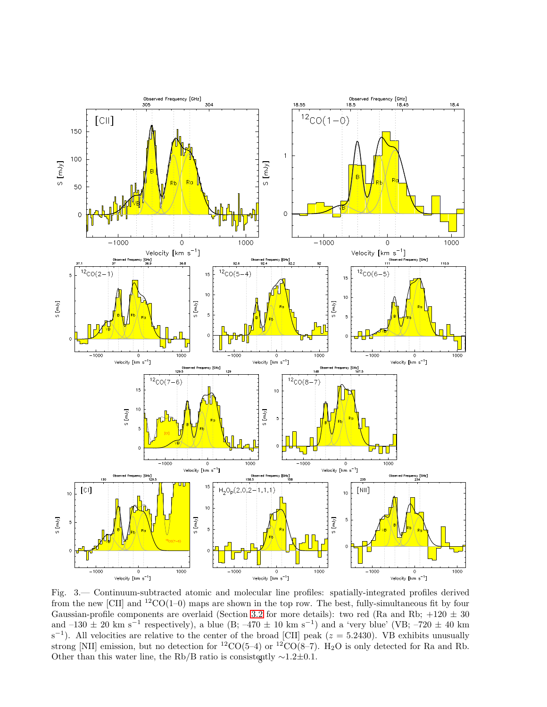

<span id="page-7-0"></span>Fig. 3.— Continuum-subtracted atomic and molecular line profiles: spatially-integrated profiles derived from the new [CII] and  ${}^{12}CO(1-0)$  maps are shown in the top row. The best, fully-simultaneous fit by four Gaussian-profile components are overlaid (Section [3.2](#page-6-0) for more details): two red (Ra and Rb;  $+120 \pm 30$ and  $-130 \pm 20$  km s<sup>-1</sup> respectively), a blue (B;  $-470 \pm 10$  km s<sup>-1</sup>) and a 'very blue' (VB;  $-720 \pm 40$  km  $s^{-1}$ ). All velocities are relative to the center of the broad [CII] peak ( $z = 5.2430$ ). VB exhibits unusually strong [NII] emission, but no detection for <sup>12</sup>CO(5–4) or <sup>12</sup>CO(8–7). H<sub>2</sub>O is only detected for Ra and Rb. Other than this water line, the Rb/B ratio is consistently  $\sim$ 1.2±0.1.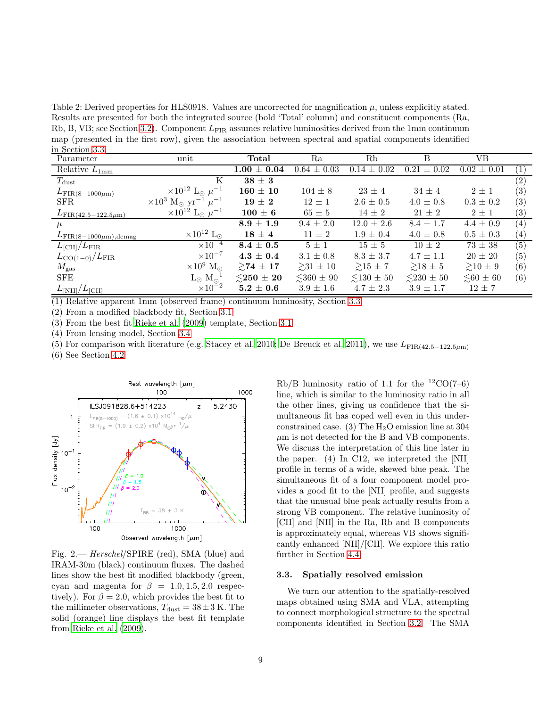<span id="page-8-1"></span>Table 2: Derived properties for HLS0918. Values are uncorrected for magnification  $\mu$ , unless explicitly stated. Results are presented for both the integrated source (bold 'Total' column) and constituent components (Ra, Rb, B, VB; see Section [3.2\)](#page-6-0). Component  $L_{\text{FIR}}$  assumes relative luminosities derived from the 1mm continuum map (presented in the first row), given the association between spectral and spatial components identified in Section [3.3.](#page-8-2)

| ш әселеп ә.ә.<br>Parameter        | unit                                                     | Total                         | Ra                  | Rb                | В               | VВ                   |                   |
|-----------------------------------|----------------------------------------------------------|-------------------------------|---------------------|-------------------|-----------------|----------------------|-------------------|
| Relative $L_{1mm}$                |                                                          | $1.00 \pm 0.04$               | $0.64 \pm 0.03$     | $0.14 \pm 0.02$   | $0.21 \pm 0.02$ | $0.02 \pm 0.01$      | $\left( 1\right)$ |
| $T_{\rm dust}$                    | Κ                                                        | $38 \pm 3$                    |                     |                   |                 |                      | $\left( 2\right)$ |
| $L_{\rm FIR(8-1000\mu m)}$        | $\times 10^{12}$ L <sub>o</sub> $\mu^{-1}$               | $160 \pm 10$                  | $104 \pm 8$         | $23 \pm 4$        | $34 \pm 4$      | $2\pm1$              | (3)               |
| SFR.                              | $\times 10^3$ M <sub>o</sub> yr <sup>-1</sup> $\mu^{-1}$ | $19 \pm 2$                    | $12 \pm 1$          | $2.6 \pm 0.5$     | $4.0 \pm 0.8$   | $0.3 \pm 0.2$        | (3)               |
| $L_{\rm FIR(42.5-122.5\mu m)}$    | $\times 10^{12}$ L <sub>☉</sub> $\mu^{-1}$               | $100\pm 6$                    | $65 \pm 5$          | $14 \pm 2$        | $21 \pm 2$      | $2\pm1$              | $\left( 3\right)$ |
| $\mu$                             |                                                          | $8.9 \pm 1.9$                 | $9.4 \pm 2.0$       | $12.0 \pm 2.6$    | $8.4 \pm 1.7$   | $4.4 \pm 0.9$        | $\left( 4\right)$ |
| $L_{\rm FIR(8-1000\mu m), demag}$ | $\times 10^{12}$ L <sub>o</sub>                          | $18\,\pm\,4$                  | $11 \pm 2$          | $1.9 \pm 0.4$     | $4.0 \pm 0.8$   | $0.5 \pm 0.3$        | $\left( 4\right)$ |
| $L_{\rm [CII]}/L_{\rm FIR}$       | $\times 10^{-4}$                                         | $8.4\,\pm\,0.5$               | $5\pm1$             | $15 \pm 5$        | $10 \pm 2$      | $73 \pm 38$          | $\overline{(5)}$  |
| $L_{\rm CO(1-0)}/L_{\rm FIR}$     | $\times 10^{-7}$                                         | $4.3 \pm 0.4$                 | $3.1 \pm 0.8$       | $8.3 \pm 3.7$     | $4.7 \pm 1.1$   | $20 \pm 20$          | (5)               |
| $M_{\rm gas}$                     | $\times 10^9$ M <sub>o</sub>                             | $\geq 74 \pm 17$              | $>31 \pm 10$        | $\geq 15 \pm 7$   | $\geq 18 \pm 5$ | $\geq 10 \pm 9$      | (6)               |
| <b>SFE</b>                        | $L_{\odot}$ $M_{\odot}^{-1}$                             | ${\lesssim}250\,\pm\,20$      | $\lesssim$ 360 ± 90 | $\leq 130 \pm 50$ | $\leq$ 230 ± 50 | $\lesssim 60 \pm 60$ | (6)               |
| $L_{\rm [NII]}/L_{\rm [CII]}$     | $\times 10^{-2}$                                         | $\textbf{5.2}\pm\textbf{0.6}$ | $3.9 \pm 1.6$       | $4.7 \pm 2.3$     | $3.9 \pm 1.7$   | $12 \pm 7$           |                   |

(1) Relative apparent 1mm (observed frame) continuum luminosity, Section [3.3](#page-8-2)

(2) From a modified blackbody fit, Section [3.1](#page-5-4)

(3) From the best fit [Rieke et al. \(2009\)](#page-26-14) template, Section [3.1](#page-5-4)

(4) From lensing model, Section [3.4](#page-12-0)

(5) For comparison with literature (e.g. [Stacey et al. 2010;](#page-27-15) [De Breuck et al. 2011\)](#page-25-15), we use  $L_{\text{FIR}(42.5-122.5\mu\text{m})}$ 

(6) See Section [4.2](#page-15-0)



<span id="page-8-0"></span>Fig. 2.— Herschel/SPIRE (red), SMA (blue) and IRAM-30m (black) continuum fluxes. The dashed lines show the best fit modified blackbody (green, cyan and magenta for  $\beta = 1.0, 1.5, 2.0$  respectively). For  $\beta = 2.0$ , which provides the best fit to the millimeter observations,  $T_{\text{dust}} = 38 \pm 3 \text{ K}$ . The solid (orange) line displays the best fit template from [Rieke et al. \(2009\)](#page-26-14).

 $Rb/B$  luminosity ratio of 1.1 for the  $^{12}CO(7-6)$ line, which is similar to the luminosity ratio in all the other lines, giving us confidence that the simultaneous fit has coped well even in this underconstrained case. (3) The  $H_2O$  emission line at 304  $\mu$ m is not detected for the B and VB components. We discuss the interpretation of this line later in the paper. (4) In C12, we interpreted the [NII] profile in terms of a wide, skewed blue peak. The simultaneous fit of a four component model provides a good fit to the [NII] profile, and suggests that the unusual blue peak actually results from a strong VB component. The relative luminosity of [CII] and [NII] in the Ra, Rb and B components is approximately equal, whereas VB shows significantly enhanced [NII]/[CII]. We explore this ratio further in Section [4.4.](#page-22-0)

#### <span id="page-8-2"></span>3.3. Spatially resolved emission

We turn our attention to the spatially-resolved maps obtained using SMA and VLA, attempting to connect morphological structure to the spectral components identified in Section [3.2.](#page-6-0) The SMA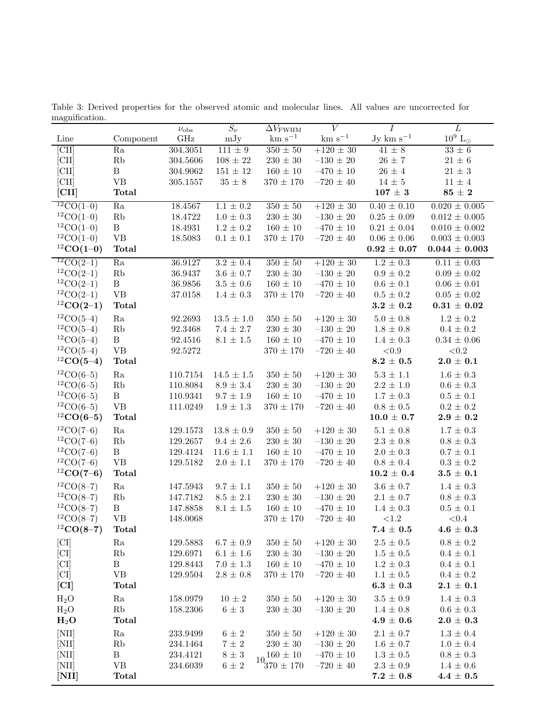<span id="page-9-0"></span>Table 3: Derived properties for the observed atomic and molecular lines. All values are uncorrected for magnification.

|                               |                                                  | $\nu_{\rm obs}$      | $\overline{S_{\nu}}$ | $\overline{\Delta V_{\rm FWHM}}$   | $\overline{V}$                   | $\overline{I}$                     | $\overline{L}$                    |
|-------------------------------|--------------------------------------------------|----------------------|----------------------|------------------------------------|----------------------------------|------------------------------------|-----------------------------------|
| Line                          | Component                                        | GHz                  | mJy                  | $\rm km~s^{-1}$                    | $km s^{-1}$                      | Jy km $s^{-1}$                     | $10^9 \rm \ L_{\odot}$            |
| [CII]                         | Ra                                               | 304.3051             | $111 \pm 9$          | $350 \pm 50$                       | $+120 \pm 30$                    | $41\pm8$                           | $33 \pm 6$                        |
| $\left[ \textrm{CII} \right]$ | Rb                                               | 304.5606             | $108 \pm 22$         | $230\pm30$                         | $-130\,\pm\,20$                  | $26\,\pm\,7$                       | $21\pm6$                          |
| $\left[ \textrm{CII} \right]$ | $\, {\bf B}$                                     | 304.9062             | $151\,\pm\,12$       | $160\pm10$                         | $-470\,\pm\,10$                  | $26\,\pm\,4$                       | $21\pm3$                          |
| [CII]                         | VB                                               | 305.1557             | $35\,\pm\,8$         | $370 \pm 170$                      | $-720\,\pm\,40$                  | $14\,\pm\,5$                       | $11\pm4$                          |
| $\vert$ CII]                  | <b>Total</b>                                     |                      |                      |                                    |                                  | $107\,\pm\,3$                      | $85\,\pm\,2$                      |
| ${}^{12}CO(1-0)$              | Ra                                               | 18.4567              | $1.1\,\pm\,0.2$      | $350 \pm 50$                       | $+120 \pm 30$                    | $0.40 \pm 0.10$                    | $0.020 \pm 0.005$                 |
| ${}^{12}CO(1-0)$              | Rb                                               | 18.4722              | $1.0\,\pm\,0.3$      | $230\pm30$                         | $-130\,\pm\,20$                  | $0.25 \pm 0.09$                    | $0.012 \pm 0.005$                 |
| ${}^{12}CO(1-0)$              | $\, {\bf B}$                                     | 18.4931              | $1.2\,\pm\,0.2$      | $160 \pm 10$                       | $-470\,\pm\,10$                  | $0.21 \pm 0.04$                    | $0.010 \pm 0.002$                 |
| ${}^{12}CO(1-0)$              | $\ensuremath{\mathsf{V}}\ensuremath{\mathsf{B}}$ | 18.5083              | $0.1\,\pm\,0.1$      | $370 \pm 170$                      | $-720 \pm 40$                    | $0.06 \pm 0.06$                    | $0.003 \pm 0.003$                 |
| ${}^{12}CO(1-0)$              | <b>Total</b>                                     |                      |                      |                                    |                                  | $0.92 \pm 0.07$                    | $0.044 \pm 0.003$                 |
| $12CO(2-1)$                   | Ra                                               | 36.9127              | $3.2\,\pm\,0.4$      | $\frac{350 \pm 50}{ }$             | $+120 \pm 30$                    | $1.2 \pm 0.3$                      | $0.11 \pm 0.03$                   |
| ${}^{12}CO(2-1)$              | Rb                                               | 36.9437              | $3.6\,\pm\,0.7$      | $230\pm30$                         | $-130\,\pm\,20$                  | $0.9\,\pm\,0.2$                    | $0.09 \pm 0.02$                   |
| ${}^{12}CO(2-1)$              | $\, {\bf B}$                                     | 36.9856              | $3.5\,\pm\,0.6$      | $160 \pm 10$                       | $-470\,\pm\,10$                  | $0.6\,\pm\,0.1$                    | $0.06 \pm 0.01$                   |
| ${}^{12}CO(2-1)$              | $\ensuremath{\mathsf{V}}\ensuremath{\mathsf{B}}$ | 37.0158              | $1.4 \pm 0.3$        | $370 \pm 170$                      | $-720\,\pm\,40$                  | $0.5\,\pm\,0.2$                    | $0.05 \pm 0.02$                   |
| ${}^{12}CO(2-1)$              | <b>Total</b>                                     |                      |                      |                                    |                                  | $3.2\,\pm\,0.2$                    | $0.31 \pm 0.02$                   |
| ${}^{12}CO(5-4)$              | Ra                                               | 92.2693              | $13.5 \pm 1.0$       | $350\pm50$                         | $+120 \pm 30$                    | $5.0\,\pm\,0.8$                    | $1.2\,\pm\,0.2$                   |
| ${}^{12}CO(5-4)$              | $\mathbf{R}\mathbf{b}$                           | 92.3468              | $7.4 \pm 2.7$        | $230\pm30$                         | $-130\,\pm\,20$                  | $1.8 \pm 0.8$                      | $0.4\,\pm\,0.2$                   |
| ${}^{12}CO(5-4)$              | $\, {\bf B}$                                     | 92.4516              | $8.1\,\pm\,1.5$      | $160\pm10$                         | $-470\,\pm\,10$                  | $1.4\,\pm\,0.3$                    | $0.34\,\pm\,0.06$                 |
| ${}^{12}CO(5-4)$              | $\ensuremath{\mathsf{V}}\ensuremath{\mathsf{B}}$ | 92.5272              |                      | $370\pm170$                        | $-720\,\pm\,40$                  | ${<}0.9$                           | ${<}0.2$                          |
| ${}^{12}CO(5-4)$              | <b>Total</b>                                     |                      |                      |                                    |                                  | $\textbf{8.2}\,\pm\,\textbf{0.5}$  | $2.0\,\pm\,0.1$                   |
| ${}^{12}CO(6-5)$              | Ra                                               | 110.7154             | $14.5 \pm 1.5$       | $350\pm50$                         | $+120 \pm 30$                    | $5.3$ $\pm$ $1.1$                  | $1.6\,\pm\,0.3$                   |
| ${}^{12}CO(6-5)$              | Rb                                               | 110.8084             | $8.9\,\pm\,3.4$      | $230\pm30$                         | $-130\,\pm\,20$                  | $2.2\,\pm\,1.0$                    | $0.6\,\pm\,0.3$                   |
| ${}^{12}CO(6-5)$              | $\mathbf B$                                      | 110.9341             | $9.7\,\pm\,1.9$      | $160 \pm 10$                       | $-470\,\pm\,10$                  | $1.7\,\pm\,0.3$                    | $0.5\,\pm\,0.1$                   |
| ${}^{12}CO(6-5)$              | $\ensuremath{\mathsf{V}}\ensuremath{\mathsf{B}}$ | 111.0249             | $1.9 \pm 1.3$        | $370\pm170$                        | $-720\,\pm\,40$                  | $0.8\,\pm\,0.5$                    | $0.2\,\pm\,0.2$                   |
| ${}^{12}CO(6-5)$              | <b>Total</b>                                     |                      |                      |                                    |                                  | $10.0\,\pm\,0.7$                   | $\textbf{2.9}\,\pm\,\textbf{0.2}$ |
| ${}^{12}CO(7-6)$              | Ra                                               | 129.1573             | $13.8 \pm 0.9$       | $350\pm50$                         | $+120 \pm 30$                    | $5.1\,\pm\,0.8$                    | $1.7 \pm 0.3$                     |
| ${}^{12}CO(7-6)$              | Rb                                               | 129.2657             | $9.4 \pm 2.6$        | $230\pm30$                         | $-130\,\pm\,20$                  | $2.3\,\pm\,0.8$                    | $0.8\,\pm\,0.3$                   |
| ${}^{12}CO(7-6)$              | $\, {\bf B}$                                     | 129.4124             | $11.6 \pm 1.1$       | $160 \pm 10$                       | $-470\,\pm\,10$                  | $2.0\,\pm\,0.3$                    | $0.7\,\pm\,0.1$                   |
| ${}^{12}CO(7-6)$              | $\ensuremath{\mathsf{V}}\ensuremath{\mathsf{B}}$ | 129.5182             | $2.0$ $\pm$ $1.1$    | $370 \pm 170$                      | $-720 \pm 40$                    | $0.8\,\pm\,0.4$                    | $0.3\,\pm\,0.2$                   |
| ${}^{12}CO(7-6)$              | <b>Total</b>                                     |                      |                      |                                    |                                  | $\textbf{10.2}\,\pm\,\textbf{0.4}$ | $\textbf{3.5}\,\pm\,\textbf{0.1}$ |
| ${}^{12}CO(8-7)$              | Ra                                               | 147.5943             | $9.7 \pm 1.1$        | $350\pm50$                         | $+120 \pm 30$                    | $3.6\,\pm\,0.7$                    | $1.4\,\pm\,0.3$                   |
| ${}^{12}CO(8-7)$              | Rb                                               | 147.7182             | $8.5\,\pm\,2.1$      | $230\pm30$                         | $-130 \pm 20$                    | $2.1\,\pm\,0.7$                    | $0.8\,\pm\,0.3$                   |
| ${}^{12}CO(8-7)$              | $\, {\bf B}$                                     | 147.8858             | $8.1\,\pm\,1.5$      | $160\pm10$                         | $-470\,\pm\,10$                  | $1.4\,\pm\,0.3$                    | $0.5\,\pm\,0.1$                   |
| ${}^{12}CO(8-7)$              | <b>VB</b>                                        | 148.0068             |                      | $370 \pm 170$                      | $-720 \pm 40$                    | ${<}1.2$                           | $<\!\!0.4$                        |
| ${}^{12}CO(8-7)$              | <b>Total</b>                                     |                      |                      |                                    |                                  | $7.4\,\pm\,0.5$                    | $4.6\,\pm\,0.3$                   |
| [CI]                          | Ra                                               | 129.5883             | $6.7 \pm 0.9$        | $350 \pm 50$                       | $+120 \pm 30$                    | $2.5\,\pm\,0.5$                    | $0.8 \pm 0.2$                     |
| [CI]                          | Rb                                               | 129.6971             | $6.1 \pm 1.6$        | $230 \pm 30$                       | $-130 \pm 20$                    | $1.5 \pm 0.5$                      | $0.4 \pm 0.1$                     |
| $\left[ \text{CI}\right]$     | $\, {\bf B}$                                     | 129.8443             | $7.0 \pm 1.3$        | $160 \pm 10$                       | $-470 \pm 10$                    | $1.2 \pm 0.3$                      | $0.4 \pm 0.1$                     |
| [CI]                          | VB                                               | 129.9504             | $2.8\,\pm\,0.8$      | $370 \pm 170$                      | $-720\,\pm\,40$                  | $1.1 \pm 0.5$                      | $0.4 \pm 0.2$                     |
| [CI]                          | <b>Total</b>                                     |                      |                      |                                    |                                  | $\textbf{6.3}\,\pm\,\textbf{0.3}$  | $2.1 \pm 0.1$                     |
| $H_2O$                        | Ra                                               | 158.0979             | $10\,\pm\,2$         | $350 \pm 50$                       | $+120 \pm 30$                    | $3.5\,\pm\,0.9$                    | $1.4 \pm 0.3$                     |
| $H_2O$                        | Rb                                               | 158.2306             | $6\,\pm\,3$          | $230 \pm 30$                       | $-130 \pm 20$                    | $1.4 \pm 0.8$                      | $0.6 \pm 0.3$                     |
| $H_2O$                        | <b>Total</b>                                     |                      |                      |                                    |                                  | $4.9\,\pm\,0.6$                    | $2.0\,\pm\,0.3$                   |
| [NII]                         |                                                  |                      |                      | $350\pm50$                         |                                  | $2.1 \pm 0.7$                      | $1.3 \pm 0.4$                     |
| [NII]                         | Ra<br>Rb                                         | 233.9499<br>234.1464 | $6\pm 2$<br>$7\pm2$  | $230 \pm 30$                       | $+120 \pm 30$<br>$-130\,\pm\,20$ | $1.6 \pm 0.7$                      | $1.0 \pm 0.4$                     |
| [NII]                         | B                                                | 234.4121             | $8\,\pm\,3$          |                                    | $-470 \pm 10$                    | $1.3 \pm 0.5$                      | $0.8 \pm 0.3$                     |
| [NII]                         | VB                                               | 234.6039             | $6 \pm 2$            | $10^{160 \pm 10}$<br>$370 \pm 170$ | $-720 \pm 40$                    | $2.3 \pm 0.9$                      | $1.4 \pm 0.6$                     |
| [NII]                         | Total                                            |                      |                      |                                    |                                  | $7.2\,\pm\,0.8$                    | $4.4\pm0.5$                       |
|                               |                                                  |                      |                      |                                    |                                  |                                    |                                   |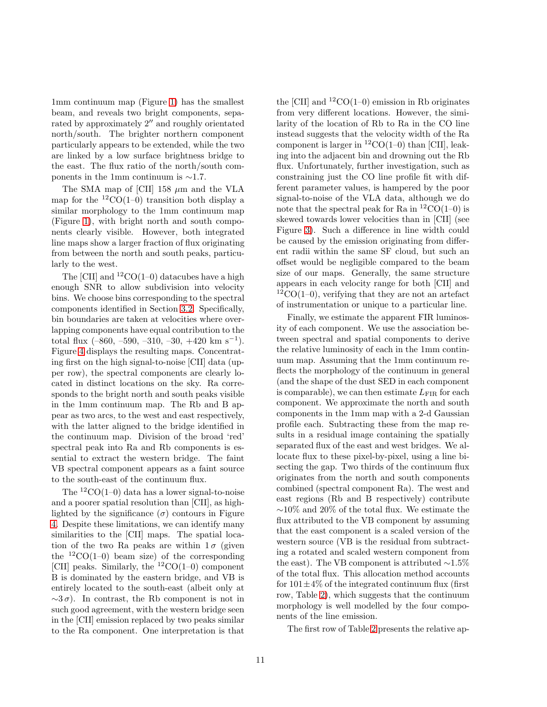1mm continuum map (Figure [1\)](#page-4-0) has the smallest beam, and reveals two bright components, separated by approximately 2′′ and roughly orientated north/south. The brighter northern component particularly appears to be extended, while the two are linked by a low surface brightness bridge to the east. The flux ratio of the north/south components in the 1mm continuum is ∼1.7.

The SMA map of [CII]  $158 \mu m$  and the VLA map for the  ${}^{12}CO(1-0)$  transition both display a similar morphology to the 1mm continuum map (Figure [1\)](#page-4-0), with bright north and south components clearly visible. However, both integrated line maps show a larger fraction of flux originating from between the north and south peaks, particularly to the west.

The  $|CII|$  and  ${}^{12}CO(1-0)$  datacubes have a high enough SNR to allow subdivision into velocity bins. We choose bins corresponding to the spectral components identified in Section [3.2.](#page-6-0) Specifically, bin boundaries are taken at velocities where overlapping components have equal contribution to the total flux  $(-860, -590, -310, -30, +420 \text{ km s}^{-1}).$ Figure [4](#page-11-0) displays the resulting maps. Concentrating first on the high signal-to-noise [CII] data (upper row), the spectral components are clearly located in distinct locations on the sky. Ra corresponds to the bright north and south peaks visible in the 1mm continuum map. The Rb and B appear as two arcs, to the west and east respectively, with the latter aligned to the bridge identified in the continuum map. Division of the broad 'red' spectral peak into Ra and Rb components is essential to extract the western bridge. The faint VB spectral component appears as a faint source to the south-east of the continuum flux.

The  ${}^{12}CO(1-0)$  data has a lower signal-to-noise and a poorer spatial resolution than [CII], as highlighted by the significance  $(\sigma)$  contours in Figure [4.](#page-11-0) Despite these limitations, we can identify many similarities to the [CII] maps. The spatial location of the two Ra peaks are within  $1\sigma$  (given the  ${}^{12}CO(1-0)$  beam size) of the corresponding [CII] peaks. Similarly, the  ${}^{12}CO(1-0)$  component B is dominated by the eastern bridge, and VB is entirely located to the south-east (albeit only at  $\sim 3\sigma$ ). In contrast, the Rb component is not in such good agreement, with the western bridge seen in the [CII] emission replaced by two peaks similar to the Ra component. One interpretation is that

the [CII] and  ${}^{12}$ CO(1–0) emission in Rb originates from very different locations. However, the similarity of the location of Rb to Ra in the CO line instead suggests that the velocity width of the Ra component is larger in  ${}^{12}CO(1-0)$  than [CII], leaking into the adjacent bin and drowning out the Rb flux. Unfortunately, further investigation, such as constraining just the CO line profile fit with different parameter values, is hampered by the poor signal-to-noise of the VLA data, although we do note that the spectral peak for Ra in  ${}^{12}CO(1-0)$  is skewed towards lower velocities than in [CII] (see Figure [3\)](#page-7-0). Such a difference in line width could be caused by the emission originating from different radii within the same SF cloud, but such an offset would be negligible compared to the beam size of our maps. Generally, the same structure appears in each velocity range for both [CII] and  ${}^{12}CO(1-0)$ , verifying that they are not an artefact of instrumentation or unique to a particular line.

Finally, we estimate the apparent FIR luminosity of each component. We use the association between spectral and spatial components to derive the relative luminosity of each in the 1mm continuum map. Assuming that the 1mm continuum reflects the morphology of the continuum in general (and the shape of the dust SED in each component is comparable), we can then estimate  $L_{\text{FIR}}$  for each component. We approximate the north and south components in the 1mm map with a 2-d Gaussian profile each. Subtracting these from the map results in a residual image containing the spatially separated flux of the east and west bridges. We allocate flux to these pixel-by-pixel, using a line bisecting the gap. Two thirds of the continuum flux originates from the north and south components combined (spectral component Ra). The west and east regions (Rb and B respectively) contribute ∼10% and 20% of the total flux. We estimate the flux attributed to the VB component by assuming that the east component is a scaled version of the western source (VB is the residual from subtracting a rotated and scaled western component from the east). The VB component is attributed  $\sim$ 1.5% of the total flux. This allocation method accounts for  $101\pm4\%$  of the integrated continuum flux (first) row, Table [2\)](#page-8-1), which suggests that the continuum morphology is well modelled by the four components of the line emission.

The first row of Table [2](#page-8-1) presents the relative ap-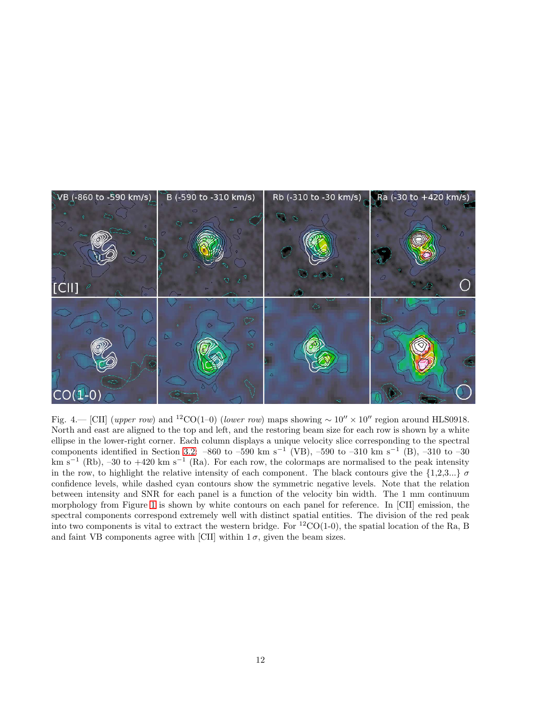

<span id="page-11-0"></span>Fig. 4.— [CII] (upper row) and <sup>12</sup>CO(1–0) (lower row) maps showing  $\sim 10'' \times 10''$  region around HLS0918. North and east are aligned to the top and left, and the restoring beam size for each row is shown by a white ellipse in the lower-right corner. Each column displays a unique velocity slice corresponding to the spectral components identified in Section [3.2:](#page-6-0)  $-860$  to  $-590$  km s<sup>-1</sup> (VB),  $-590$  to  $-310$  km s<sup>-1</sup> (B),  $-310$  to  $-30$ km s<sup>-1</sup> (Rb), -30 to +420 km s<sup>-1</sup> (Ra). For each row, the colormaps are normalised to the peak intensity in the row, to highlight the relative intensity of each component. The black contours give the  $\{1,2,3...\}$   $\sigma$ confidence levels, while dashed cyan contours show the symmetric negative levels. Note that the relation between intensity and SNR for each panel is a function of the velocity bin width. The 1 mm continuum morphology from Figure [1](#page-4-0) is shown by white contours on each panel for reference. In [CII] emission, the spectral components correspond extremely well with distinct spatial entities. The division of the red peak into two components is vital to extract the western bridge. For  ${}^{12}CO(1-0)$ , the spatial location of the Ra, B and faint VB components agree with [CII] within  $1\sigma$ , given the beam sizes.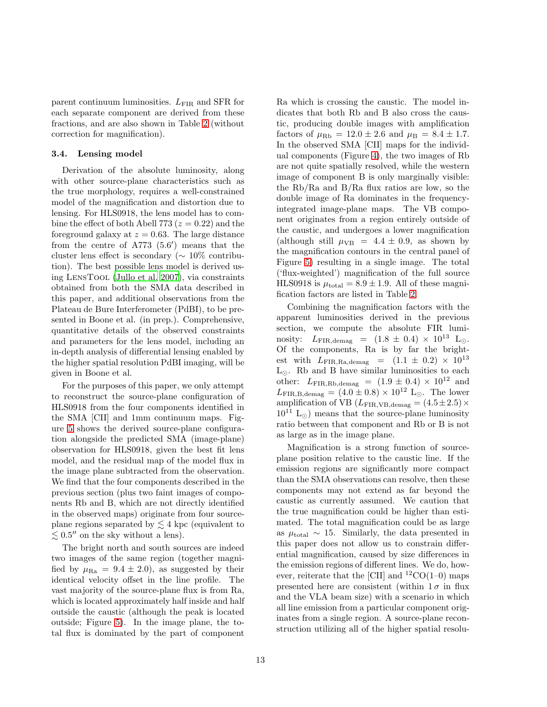parent continuum luminosities.  $L_{\text{FIR}}$  and SFR for each separate component are derived from these fractions, and are also shown in Table [2](#page-8-1) (without correction for magnification).

## <span id="page-12-0"></span>3.4. Lensing model

Derivation of the absolute luminosity, along with other source-plane characteristics such as the true morphology, requires a well-constrained model of the magnification and distortion due to lensing. For HLS0918, the lens model has to combine the effect of both Abell 773 ( $z = 0.22$ ) and the foreground galaxy at  $z = 0.63$ . The large distance from the centre of A773 (5.6′ ) means that the cluster lens effect is secondary ( $\sim 10\%$  contribution). The best possible lens model is derived using LensTool [\(Jullo et al. 2007\)](#page-26-20), via constraints obtained from both the SMA data described in this paper, and additional observations from the Plateau de Bure Interferometer (PdBI), to be presented in Boone et al. (in prep.). Comprehensive, quantitative details of the observed constraints and parameters for the lens model, including an in-depth analysis of differential lensing enabled by the higher spatial resolution PdBI imaging, will be given in Boone et al.

For the purposes of this paper, we only attempt to reconstruct the source-plane configuration of HLS0918 from the four components identified in the SMA [CII] and 1mm continuum maps. Figure [5](#page-13-1) shows the derived source-plane configuration alongside the predicted SMA (image-plane) observation for HLS0918, given the best fit lens model, and the residual map of the model flux in the image plane subtracted from the observation. We find that the four components described in the previous section (plus two faint images of components Rb and B, which are not directly identified in the observed maps) originate from four sourceplane regions separated by  $\lesssim 4$  kpc (equivalent to  $\lesssim 0.5''$  on the sky without a lens).

The bright north and south sources are indeed two images of the same region (together magnified by  $\mu_{\text{Ra}} = 9.4 \pm 2.0$ , as suggested by their identical velocity offset in the line profile. The vast majority of the source-plane flux is from Ra, which is located approximately half inside and half outside the caustic (although the peak is located outside; Figure [5\)](#page-13-1). In the image plane, the total flux is dominated by the part of component

Ra which is crossing the caustic. The model indicates that both Rb and B also cross the caustic, producing double images with amplification factors of  $\mu_{\text{Rb}} = 12.0 \pm 2.6$  and  $\mu_{\text{B}} = 8.4 \pm 1.7$ . In the observed SMA [CII] maps for the individual components (Figure [4\)](#page-11-0), the two images of Rb are not quite spatially resolved, while the western image of component B is only marginally visible: the Rb/Ra and B/Ra flux ratios are low, so the double image of Ra dominates in the frequencyintegrated image-plane maps. The VB component originates from a region entirely outside of the caustic, and undergoes a lower magnification (although still  $\mu_{VB} = 4.4 \pm 0.9$ , as shown by the magnification contours in the central panel of Figure [5\)](#page-13-1) resulting in a single image. The total ('flux-weighted') magnification of the full source HLS0918 is  $\mu_{\text{total}} = 8.9 \pm 1.9$ . All of these magnification factors are listed in Table [2.](#page-8-1)

Combining the magnification factors with the apparent luminosities derived in the previous section, we compute the absolute FIR luminosity:  $L_{\text{FIR.demag}} = (1.8 \pm 0.4) \times 10^{13} \text{ L}_{\odot}.$ Of the components, Ra is by far the brightest with  $L_{\text{FIR},\text{Ra,demag}} = (1.1 \pm 0.2) \times 10^{13}$  $L_{\odot}$ . Rb and B have similar luminosities to each other:  $L_{\rm FIR, Rb, demag}$  =  $(1.9 \pm 0.4) \times 10^{12}$  and  $L_{\text{FIR},B,\text{demag}} = (4.0 \pm 0.8) \times 10^{12} \text{ L}_{\odot}.$  The lower amplification of VB ( $L_{\rm FIR, VB, demag} = (4.5 \pm 2.5) \times$  $10^{11}$  L<sub>⊙</sub>) means that the source-plane luminosity ratio between that component and Rb or B is not as large as in the image plane.

Magnification is a strong function of sourceplane position relative to the caustic line. If the emission regions are significantly more compact than the SMA observations can resolve, then these components may not extend as far beyond the caustic as currently assumed. We caution that the true magnification could be higher than estimated. The total magnification could be as large as  $\mu_{\text{total}} \sim 15$ . Similarly, the data presented in this paper does not allow us to constrain differential magnification, caused by size differences in the emission regions of different lines. We do, however, reiterate that the [CII] and  ${}^{12}CO(1-0)$  maps presented here are consistent (within  $1\sigma$  in flux and the VLA beam size) with a scenario in which all line emission from a particular component originates from a single region. A source-plane reconstruction utilizing all of the higher spatial resolu-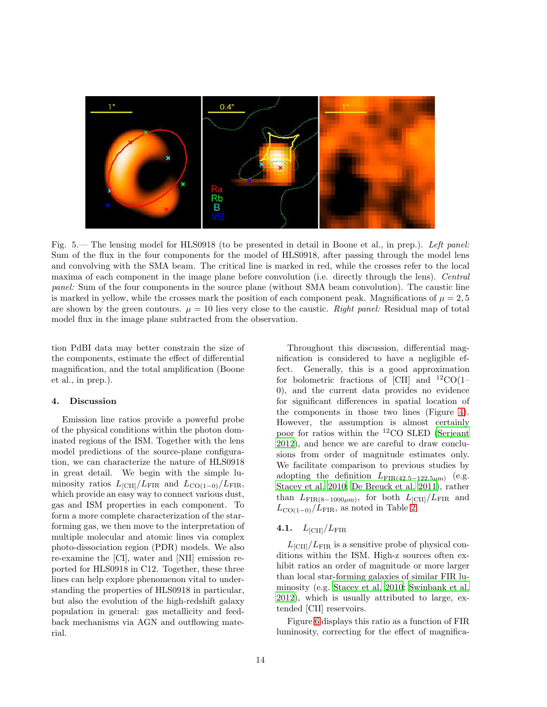

<span id="page-13-1"></span>Fig. 5.— The lensing model for HLS0918 (to be presented in detail in Boone et al., in prep.). Left panel: Sum of the flux in the four components for the model of HLS0918, after passing through the model lens and convolving with the SMA beam. The critical line is marked in red, while the crosses refer to the local maxima of each component in the image plane before convolution (i.e. directly through the lens). Central panel: Sum of the four components in the source plane (without SMA beam convolution). The caustic line is marked in yellow, while the crosses mark the position of each component peak. Magnifications of  $\mu = 2, 5$ are shown by the green contours.  $\mu = 10$  lies very close to the caustic. Right panel: Residual map of total model flux in the image plane subtracted from the observation.

tion PdBI data may better constrain the size of the components, estimate the effect of differential magnification, and the total amplification (Boone et al., in prep.).

## <span id="page-13-0"></span>4. Discussion

Emission line ratios provide a powerful probe of the physical conditions within the photon dominated regions of the ISM. Together with the lens model predictions of the source-plane configuration, we can characterize the nature of HLS0918 in great detail. We begin with the simple luminosity ratios  $L_{\text{[CII]}}/L_{\text{FIR}}$  and  $L_{\text{CO(1-0)}}/L_{\text{FIR}}$ , which provide an easy way to connect various dust, gas and ISM properties in each component. To form a more complete characterization of the starforming gas, we then move to the interpretation of multiple molecular and atomic lines via complex photo-dissociation region (PDR) models. We also re-examine the [CI], water and [NII] emission reported for HLS0918 in C12. Together, these three lines can help explore phenomenon vital to understanding the properties of HLS0918 in particular, but also the evolution of the high-redshift galaxy population in general: gas metallicity and feedback mechanisms via AGN and outflowing material.

Throughout this discussion, differential magnification is considered to have a negligible effect. Generally, this is a good approximation for bolometric fractions of [CII] and  $^{12}CO(1-$ 0), and the current data provides no evidence for significant differences in spatial location of the components in those two lines (Figure [4\)](#page-11-0). However, the assumption is almost certainly poor for ratios within the <sup>12</sup>CO SLED [\(Serjeant](#page-27-12) [2012\)](#page-27-12), and hence we are careful to draw conclusions from order of magnitude estimates only. We facilitate comparison to previous studies by adopting the definition  $L_{\text{FIR}(42.5-122.5\mu\text{m})}$  (e.g. [Stacey et al. 2010](#page-27-15); [De Breuck et al. 2011\)](#page-25-15), rather than  $L_{\text{FIR}(8-1000\mu\text{m})}$ , for both  $L_{\text{[CII]}}/L_{\text{FIR}}$  and  $L_{\text{CO(1-0)}}/L_{\text{FIR}}$ , as noted in Table [2.](#page-8-1)

## 4.1.  $L_{\rm [CII]}/L_{\rm FIR}$

 $L_{\text{[CII]}}/L_{\text{FIR}}$  is a sensitive probe of physical conditions within the ISM. High-z sources often exhibit ratios an order of magnitude or more larger than local star-forming galaxies of similar FIR luminosity (e.g. [Stacey et al. 2010;](#page-27-15) [Swinbank et al.](#page-27-8) [2012\)](#page-27-8), which is usually attributed to large, extended [CII] reservoirs.

Figure [6](#page-14-0) displays this ratio as a function of FIR luminosity, correcting for the effect of magnifica-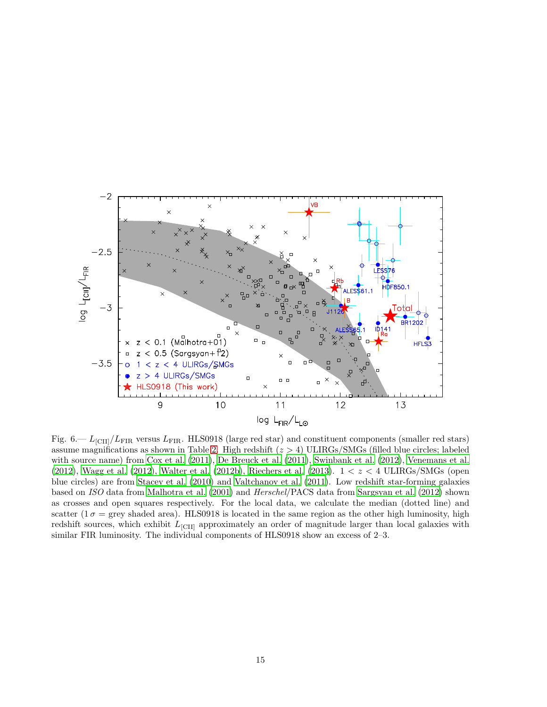

<span id="page-14-0"></span>Fig. 6.—  $L_{\text{ICII}}/L_{\text{FIR}}$  versus  $L_{\text{FIR}}$ . HLS0918 (large red star) and constituent components (smaller red stars) assume magnifications as shown in Table [2.](#page-8-1) High redshift  $(z > 4)$  ULIRGs/SMGs (filled blue circles; labeled with source name) from [Cox et al. \(2011\)](#page-25-6), [De Breuck et al. \(2011](#page-25-15)), [Swinbank et al. \(2012\)](#page-27-8), [Venemans et al.](#page-27-0) [\(2012\)](#page-27-0), [Wagg et al. \(2012\)](#page-27-16), [Walter et al. \(2012b](#page-27-17)), [Riechers et al. \(2013](#page-26-7)).  $1 < z < 4$  ULIRGs/SMGs (open blue circles) are from [Stacey et al. \(2010\)](#page-27-15) and [Valtchanov et al. \(2011](#page-27-18)). Low redshift star-forming galaxies based on ISO data from [Malhotra et al. \(2001\)](#page-26-21) and Herschel/PACS data from [Sargsyan et al. \(2012\)](#page-27-19) shown as crosses and open squares respectively. For the local data, we calculate the median (dotted line) and scatter  $(1\sigma = \text{grey shaded area})$ . HLS0918 is located in the same region as the other high luminosity, high redshift sources, which exhibit  $L_{\text{[CII]}}$  approximately an order of magnitude larger than local galaxies with similar FIR luminosity. The individual components of HLS0918 show an excess of 2–3.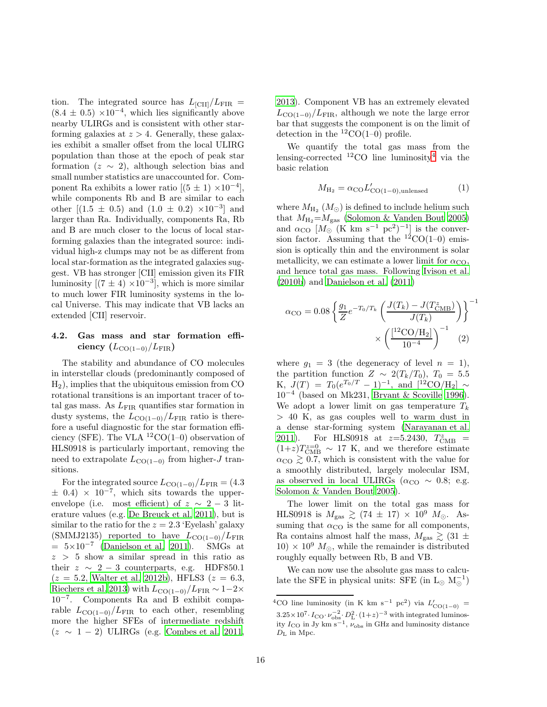tion. The integrated source has  $L_{\text{[CII]}}/L_{\text{FIR}} =$  $(8.4 \pm 0.5) \times 10^{-4}$ , which lies significantly above nearby ULIRGs and is consistent with other starforming galaxies at  $z > 4$ . Generally, these galaxies exhibit a smaller offset from the local ULIRG population than those at the epoch of peak star formation  $(z \sim 2)$ , although selection bias and small number statistics are unaccounted for. Component Ra exhibits a lower ratio  $[(5 \pm 1) \times 10^{-4}]$ , while components Rb and B are similar to each other  $[(1.5 \pm 0.5)$  and  $(1.0 \pm 0.2) \times 10^{-3}]$  and larger than Ra. Individually, components Ra, Rb and B are much closer to the locus of local starforming galaxies than the integrated source: individual high-z clumps may not be as different from local star-formation as the integrated galaxies suggest. VB has stronger [CII] emission given its FIR luminosity  $[(7 \pm 4) \times 10^{-3}]$ , which is more similar to much lower FIR luminosity systems in the local Universe. This may indicate that VB lacks an extended [CII] reservoir.

## <span id="page-15-0"></span>4.2. Gas mass and star formation efficiency  $(L_{\text{CO}(1-0)}/L_{\text{FIR}})$

The stability and abundance of CO molecules in interstellar clouds (predominantly composed of H2), implies that the ubiquitous emission from CO rotational transitions is an important tracer of total gas mass. As  $L_{\rm FIR}$  quantifies star formation in dusty systems, the  $L_{\text{CO}(1-0)}/L_{\text{FIR}}$  ratio is therefore a useful diagnostic for the star formation efficiency (SFE). The VLA  ${}^{12}CO(1-0)$  observation of HLS0918 is particularly important, removing the need to extrapolate  $L_{\text{CO}(1-0)}$  from higher-J transitions.

For the integrated source  $L_{\text{CO}(1-0)}/L_{\text{FIR}} = (4.3$  $\pm$  0.4) × 10<sup>-7</sup>, which sits towards the upperenvelope (i.e. most efficient) of  $z \sim 2-3$  literature values (e.g. [De Breuck et al. 2011\)](#page-25-15), but is similar to the ratio for the  $z = 2.3$  'Eyelash' galaxy (SMMJ2135) reported to have  $L_{\text{CO}(1-0)}/L_{\text{FIR}}$  $= 5 \times 10^{-7}$  [\(Danielson et al. 2011\)](#page-25-2). SMGs at  $z > 5$  show a similar spread in this ratio as their  $z \sim 2-3$  counterparts, e.g. HDF850.1  $(z = 5.2,$  [Walter et al. 2012b\)](#page-27-17), HFLS3  $(z = 6.3,$ [Riechers et al. 2013\)](#page-26-7) with  $L_{\text{CO}(1-0)}/L_{\text{FIR}} \sim 1-2\times$ 10−<sup>7</sup> . Components Ra and B exhibit comparable  $L_{\text{CO}(1-0)}/L_{\text{FIR}}$  to each other, resembling more the higher SFEs of intermediate redshift  $(z \sim 1 - 2)$  ULIRGs (e.g. [Combes et al. 2011,](#page-25-16) [2013\)](#page-25-17). Component VB has an extremely elevated  $L_{\text{CO}(1-0)}/L_{\text{FIR}}$ , although we note the large error bar that suggests the component is on the limit of detection in the  ${}^{12}CO(1-0)$  profile.

We quantify the total gas mass from the lensing-corrected  ${}^{12}$ CO line luminosity<sup>[4](#page-15-1)</sup> via the basic relation

$$
M_{\rm H_2} = \alpha_{\rm CO} L'_{\rm CO(1-0), unlensed} \tag{1}
$$

where  $M_{\rm H_{2}}$   $(M_{\odot})$  is defined to include helium such that  $M_{\text{H}_2} = M_{\text{gas}}$  [\(Solomon & Vanden Bout 2005\)](#page-27-2) and  $\alpha_{\rm CO}$  [M<sub>o</sub> (K km s<sup>-1</sup> pc<sup>2</sup>)<sup>-1</sup>] is the conversion factor. Assuming that the  $^{12}CO(1-0)$  emission is optically thin and the environment is solar metallicity, we can estimate a lower limit for  $\alpha_{\text{CO}}$ , and hence total gas mass. Following [Ivison et al.](#page-25-18) [\(2010b\)](#page-25-18) and [Danielson et al. \(2011\)](#page-25-2)

$$
\alpha_{\text{CO}} = 0.08 \left\{ \frac{g_1}{Z} e^{-T_0/T_k} \left( \frac{J(T_k) - J(T_{\text{CMB}}^z)}{J(T_k)} \right) \right\}^{-1} \times \left( \frac{[^{12}\text{CO}/\text{H}_2]}{10^{-4}} \right)^{-1} (2)
$$

where  $g_1 = 3$  (the degeneracy of level  $n = 1$ ), the partition function  $Z \sim 2(T_k/T_0)$ ,  $T_0 = 5.5$ K,  $J(T) = T_0(e^{T_0/T} - 1)^{-1}$ , and  $[^{12}CO/H_2] \sim$ 10<sup>−</sup><sup>4</sup> (based on Mk231, [Bryant & Scoville 1996\)](#page-25-19). We adopt a lower limit on gas temperature  $T_k$ > 40 K, as gas couples well to warm dust in a dense star-forming system [\(Narayanan et al.](#page-26-22) [2011\)](#page-26-22). For HLS0918 at  $z=5.2430, T_{\text{CMB}}^z =$  $(1+z)T_{\text{CMB}}^{z=0} \sim 17$  K, and we therefore estimate  $\alpha_{\rm CO} \gtrsim 0.7$ , which is consistent with the value for a smoothly distributed, largely molecular ISM, as observed in local ULIRGs ( $\alpha_{\rm CO} \sim 0.8$ ; e.g. [Solomon & Vanden Bout 2005\)](#page-27-2).

The lower limit on the total gas mass for HLS0918 is  $M_{\text{gas}} \gtrsim (74 \pm 17) \times 10^9$   $M_{\odot}$ . Assuming that  $\alpha_{\rm CO}$  is the same for all components, Ra contains almost half the mass,  $M_{\rm gas} \gtrsim (31 \pm$  $10) \times 10^9$   $M_{\odot}$ , while the remainder is distributed roughly equally between Rb, B and VB.

We can now use the absolute gas mass to calculate the SFE in physical units: SFE (in  $L_{\odot}$   $M_{\odot}^{-1}$ )

<span id="page-15-1"></span><sup>&</sup>lt;sup>4</sup>CO line luminosity (in K km s<sup>-1</sup> pc<sup>2</sup>) via  $L'_{\text{CO}(1-0)}$  =  $3.25 \times 10^7 \cdot I_{\text{CO}} \cdot \nu_{\text{obs}}^{-2} \cdot D_L^2 \cdot (1+z)^{-3}$  with integrated luminosity  $I_{\text{CO}}$  in Jy km s<sup>-1</sup>,  $\nu_{\text{obs}}$  in GHz and luminosity distance  $D_{\rm L}$  in Mpc.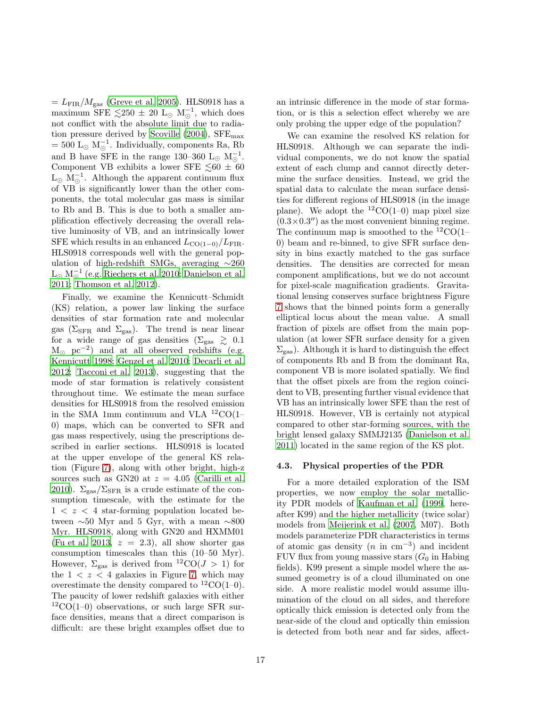$=L_{\rm FIR}/M_{\rm gas}$  [\(Greve et al. 2005](#page-25-20)). HLS0918 has a maximum SFE  $\lesssim$  250  $\pm$  20 L<sub>☉</sub> M<sub>☉</sub><sup>-1</sup>, which does not conflict with the absolute limit due to radiation pressure derived by Scoville  $(2004)$ , SFE<sub>max</sub>  $= 500 \text{ L}_{\odot} \text{ M}_{\odot}^{-1}$ . Individually, components Ra, Rb and B have SFE in the range 130–360  $L_{\odot}$   $M_{\odot}^{-1}$ . Component VB exhibits a lower SFE  $\leq 60 \pm 60$  $\mathrm{L}_{\odot}$  M<sub> $\odot$ </sub><sup>-1</sup>. Although the apparent continuum flux of VB is significantly lower than the other components, the total molecular gas mass is similar to Rb and B. This is due to both a smaller amplification effectively decreasing the overall relative luminosity of VB, and an intrinsically lower SFE which results in an enhanced  $L_{\text{CO}(1-0)}/L_{\text{FIR}}$ . HLS0918 corresponds well with the general population of high-redshift SMGs, averaging ∼260  $\text{L}_{\odot} \text{ M}_{\odot}^{-1}$  (e.g. [Riechers et al. 2010;](#page-26-23) [Danielson et al.](#page-25-2) [2011;](#page-25-2) [Thomson et al. 2012\)](#page-27-21).

Finally, we examine the Kennicutt–Schmidt (KS) relation, a power law linking the surface densities of star formation rate and molecular gas ( $\Sigma_{\rm SFR}$  and  $\Sigma_{\rm gas}$ ). The trend is near linear for a wide range of gas densities  $(\Sigma_{\rm gas} \geq 0.1$  $M_{\odot}$  pc<sup>-2</sup>) and at all observed redshifts (e.g. [Kennicutt 1998](#page-26-15); [Genzel et al. 2010;](#page-25-21) [Decarli et al.](#page-25-22) [2012;](#page-25-22) [Tacconi et al. 2013](#page-27-22)), suggesting that the mode of star formation is relatively consistent throughout time. We estimate the mean surface densities for HLS0918 from the resolved emission in the SMA 1mm continuum and VLA  ${}^{12}CO(1-$ 0) maps, which can be converted to SFR and gas mass respectively, using the prescriptions described in earlier sections. HLS0918 is located at the upper envelope of the general KS relation (Figure [7\)](#page-17-0), along with other bright, high-z sources such as GN20 at  $z = 4.05$  [\(Carilli et al.](#page-25-23) [2010\)](#page-25-23).  $\Sigma_{\rm gas}/\Sigma_{\rm SFR}$  is a crude estimate of the consumption timescale, with the estimate for the  $1 < z < 4$  star-forming population located between ∼50 Myr and 5 Gyr, with a mean ∼800 Myr. HLS0918, along with GN20 and HXMM01 [\(Fu et al. 2013](#page-25-24),  $z = 2.3$ ), all show shorter gas consumption timescales than this (10–50 Myr). However,  $\Sigma_{\rm gas}$  is derived from  ${}^{12}CO(J > 1)$  for the  $1 < z < 4$  galaxies in Figure [7,](#page-17-0) which may overestimate the density compared to  ${}^{12}CO(1-0)$ . The paucity of lower redshift galaxies with either  ${}^{12}CO(1-0)$  observations, or such large SFR surface densities, means that a direct comparison is difficult: are these bright examples offset due to

an intrinsic difference in the mode of star formation, or is this a selection effect whereby we are only probing the upper edge of the population?

We can examine the resolved KS relation for HLS0918. Although we can separate the individual components, we do not know the spatial extent of each clump and cannot directly determine the surface densities. Instead, we grid the spatial data to calculate the mean surface densities for different regions of HLS0918 (in the image plane). We adopt the  ${}^{12}CO(1-0)$  map pixel size  $(0.3 \times 0.3'')$  as the most convenient binning regime. The continuum map is smoothed to the  ${}^{12}CO(1-$ 0) beam and re-binned, to give SFR surface density in bins exactly matched to the gas surface densities. The densities are corrected for mean component amplifications, but we do not account for pixel-scale magnification gradients. Gravitational lensing conserves surface brightness Figure [7](#page-17-0) shows that the binned points form a generally elliptical locus about the mean value. A small fraction of pixels are offset from the main population (at lower SFR surface density for a given  $\Sigma<sub>gas</sub>$ ). Although it is hard to distinguish the effect of components Rb and B from the dominant Ra, component VB is more isolated spatially. We find that the offset pixels are from the region coincident to VB, presenting further visual evidence that VB has an intrinsically lower SFE than the rest of HLS0918. However, VB is certainly not atypical compared to other star-forming sources, with the bright lensed galaxy SMMJ2135 [\(Danielson et al.](#page-25-2) [2011\)](#page-25-2) located in the same region of the KS plot.

#### 4.3. Physical properties of the PDR

For a more detailed exploration of the ISM properties, we now employ the solar metallicity PDR models of [Kaufman et al. \(1999,](#page-26-4) hereafter K99) and the higher metallicity (twice solar) models from [Meijerink et al. \(2007,](#page-26-5) M07). Both models parameterize PDR characteristics in terms of atomic gas density  $(n \text{ in cm}^{-3})$  and incident FUV flux from young massive stars  $(G_0$  in Habing fields). K99 present a simple model where the assumed geometry is of a cloud illuminated on one side. A more realistic model would assume illumination of the cloud on all sides, and therefore optically thick emission is detected only from the near-side of the cloud and optically thin emission is detected from both near and far sides, affect-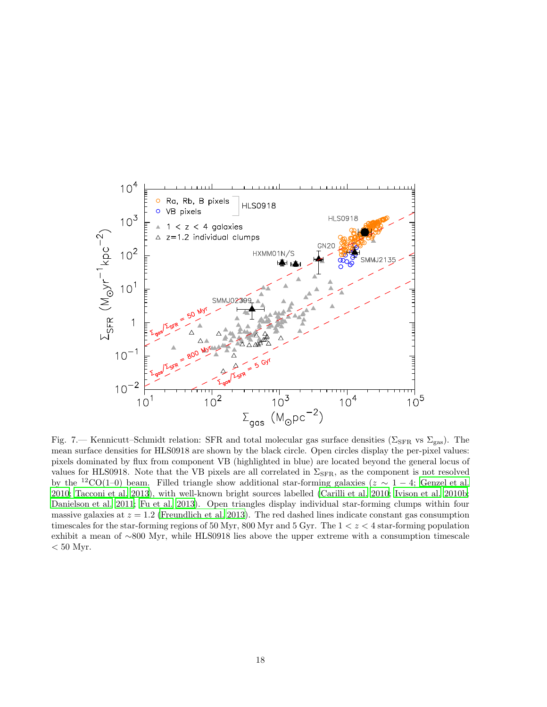

<span id="page-17-0"></span>Fig. 7.— Kennicutt–Schmidt relation: SFR and total molecular gas surface densities ( $\Sigma$ <sub>SFR</sub> vs  $\Sigma$ <sub>gas</sub>). The mean surface densities for HLS0918 are shown by the black circle. Open circles display the per-pixel values: pixels dominated by flux from component VB (highlighted in blue) are located beyond the general locus of values for HLS0918. Note that the VB pixels are all correlated in  $\Sigma_{\rm SFR}$ , as the component is not resolved by the <sup>12</sup>CO(1–0) beam. Filled triangle show additional star-forming galaxies ( $z \sim 1-4$ ; [Genzel et al.](#page-25-21) [2010;](#page-25-21) [Tacconi et al. 2013\)](#page-27-22), with well-known bright sources labelled [\(Carilli et al. 2010;](#page-25-23) [Ivison et al. 2010b;](#page-25-18) [Danielson et al. 2011;](#page-25-2) [Fu et al. 2013\)](#page-25-24). Open triangles display individual star-forming clumps within four massive galaxies at  $z = 1.2$  [\(Freundlich et al. 2013](#page-25-25)). The red dashed lines indicate constant gas consumption timescales for the star-forming regions of 50 Myr, 800 Myr and 5 Gyr. The  $1 < z < 4$  star-forming population exhibit a mean of ∼800 Myr, while HLS0918 lies above the upper extreme with a consumption timescale  $< 50$  Myr.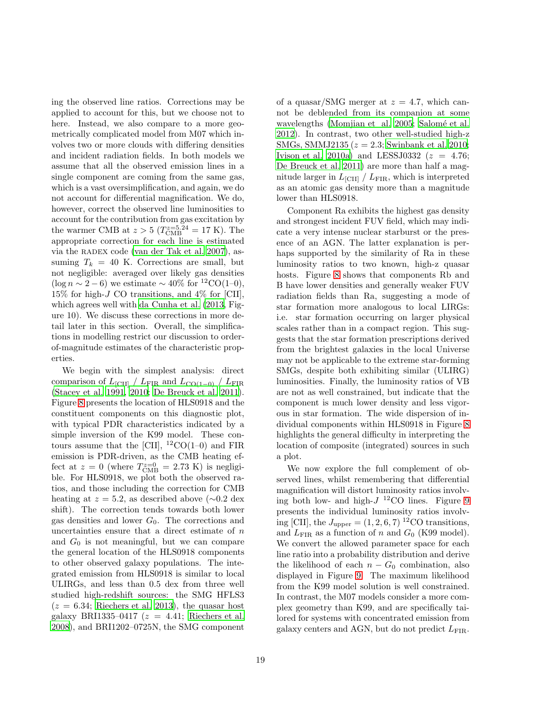ing the observed line ratios. Corrections may be applied to account for this, but we choose not to here. Instead, we also compare to a more geometrically complicated model from M07 which involves two or more clouds with differing densities and incident radiation fields. In both models we assume that all the observed emission lines in a single component are coming from the same gas, which is a vast oversimplification, and again, we do not account for differential magnification. We do, however, correct the observed line luminosities to account for the contribution from gas excitation by the warmer CMB at  $z > 5$  ( $T_{\text{CMB}}^{z=5.24} = 17$  K). The appropriate correction for each line is estimated via the RADEX code [\(van der Tak et al. 2007\)](#page-27-23), assuming  $T_k = 40$  K. Corrections are small, but not negligible: averaged over likely gas densities  $(\log n \sim 2 - 6)$  we estimate  $\sim 40\%$  for <sup>12</sup>CO(1–0),  $15\%$  for high-*J* CO transitions, and  $4\%$  for [CII], which agrees well with [da Cunha et al. \(2013,](#page-25-14) Figure 10). We discuss these corrections in more detail later in this section. Overall, the simplifications in modelling restrict our discussion to orderof-magnitude estimates of the characteristic properties.

We begin with the simplest analysis: direct comparison of  $L_{\text{[CII]}} / L_{\text{FIR}}$  and  $L_{\text{CO(1-0)}} / L_{\text{FIR}}$ [\(Stacey et al. 1991](#page-27-24), [2010;](#page-27-15) [De Breuck et al. 2011\)](#page-25-15). Figure [8](#page-19-0) presents the location of HLS0918 and the constituent components on this diagnostic plot, with typical PDR characteristics indicated by a simple inversion of the K99 model. These contours assume that the [CII],  ${}^{12}CO(1-0)$  and FIR emission is PDR-driven, as the CMB heating effect at  $z = 0$  (where  $T_{\text{CMB}}^{z=0} = 2.73 \text{ K}$ ) is negligible. For HLS0918, we plot both the observed ratios, and those including the correction for CMB heating at  $z = 5.2$ , as described above (∼0.2 dex shift). The correction tends towards both lower gas densities and lower  $G_0$ . The corrections and uncertainties ensure that a direct estimate of  $n$ and  $G_0$  is not meaningful, but we can compare the general location of the HLS0918 components to other observed galaxy populations. The integrated emission from HLS0918 is similar to local ULIRGs, and less than 0.5 dex from three well studied high-redshift sources: the SMG HFLS3  $(z = 6.34;$  [Riechers et al. 2013\)](#page-26-7), the quasar host galaxy BRI1335–0417 ( $z = 4.41$ ; [Riechers et al.](#page-26-24) [2008\)](#page-26-24), and BRI1202–0725N, the SMG component of a quasar/SMG merger at  $z = 4.7$ , which cannot be deblended from its companion at some wavelengths [\(Momjian et al. 2005;](#page-26-25) Salomé et al. [2012\)](#page-26-26). In contrast, two other well-studied high-z SMGs, SMMJ2135 ( $z = 2.3$ ; [Swinbank et al. 2010;](#page-27-25) [Ivison et al. 2010a\)](#page-25-26) and LESSJ0332  $(z = 4.76;$ [De Breuck et al. 2011](#page-25-15)) are more than half a magnitude larger in  $L_{\text{[CII]}} / L_{\text{FIR}}$ , which is interpreted as an atomic gas density more than a magnitude lower than HLS0918.

Component Ra exhibits the highest gas density and strongest incident FUV field, which may indicate a very intense nuclear starburst or the presence of an AGN. The latter explanation is perhaps supported by the similarity of Ra in these luminosity ratios to two known, high-z quasar hosts. Figure [8](#page-19-0) shows that components Rb and B have lower densities and generally weaker FUV radiation fields than Ra, suggesting a mode of star formation more analogous to local LIRGs: i.e. star formation occurring on larger physical scales rather than in a compact region. This suggests that the star formation prescriptions derived from the brightest galaxies in the local Universe may not be applicable to the extreme star-forming SMGs, despite both exhibiting similar (ULIRG) luminosities. Finally, the luminosity ratios of VB are not as well constrained, but indicate that the component is much lower density and less vigorous in star formation. The wide dispersion of individual components within HLS0918 in Figure [8](#page-19-0) highlights the general difficulty in interpreting the location of composite (integrated) sources in such a plot.

We now explore the full complement of observed lines, whilst remembering that differential magnification will distort luminosity ratios involving both low- and high- $J<sup>12</sup>CO$  lines. Figure [9](#page-20-0) presents the individual luminosity ratios involving [CII], the  $J_{\text{upper}} = (1, 2, 6, 7)^{12} \text{CO transitions},$ and  $L_{\text{FIR}}$  as a function of n and  $G_0$  (K99 model). We convert the allowed parameter space for each line ratio into a probability distribution and derive the likelihood of each  $n - G_0$  combination, also displayed in Figure [9.](#page-20-0) The maximum likelihood from the K99 model solution is well constrained. In contrast, the M07 models consider a more complex geometry than K99, and are specifically tailored for systems with concentrated emission from galaxy centers and AGN, but do not predict  $L_{\text{FIR}}$ .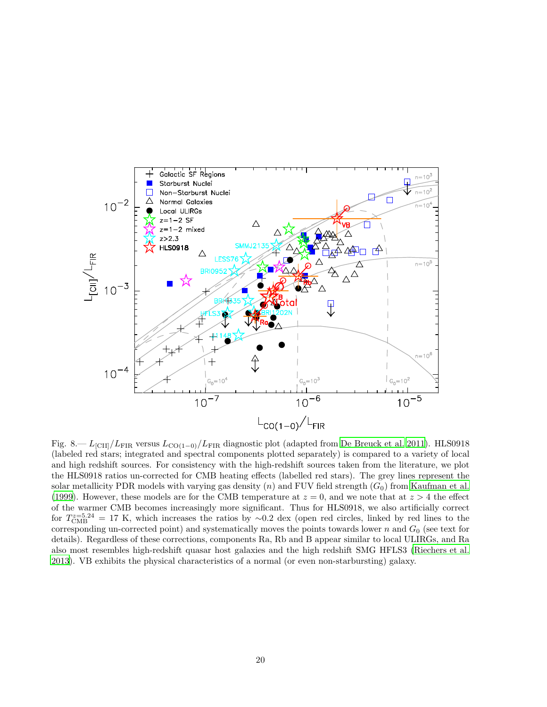

<span id="page-19-0"></span>Fig. 8.—  $L_{\text{[CII]}}/L_{\text{FIR}}$  versus  $L_{\text{CO(1-0)}}/L_{\text{FIR}}$  diagnostic plot (adapted from [De Breuck et al. 2011\)](#page-25-15). HLS0918 (labeled red stars; integrated and spectral components plotted separately) is compared to a variety of local and high redshift sources. For consistency with the high-redshift sources taken from the literature, we plot the HLS0918 ratios un-corrected for CMB heating effects (labelled red stars). The grey lines represent the solar metallicity PDR models with varying gas density  $(n)$  and FUV field strength  $(G_0)$  from [Kaufman et al.](#page-26-4) [\(1999\)](#page-26-4). However, these models are for the CMB temperature at  $z = 0$ , and we note that at  $z > 4$  the effect of the warmer CMB becomes increasingly more significant. Thus for HLS0918, we also artificially correct for  $T_{\text{CMB}}^{z=5.24} = 17$  K, which increases the ratios by ~0.2 dex (open red circles, linked by red lines to the corresponding un-corrected point) and systematically moves the points towards lower  $n$  and  $G_0$  (see text for details). Regardless of these corrections, components Ra, Rb and B appear similar to local ULIRGs, and Ra also most resembles high-redshift quasar host galaxies and the high redshift SMG HFLS3 [\(Riechers et al.](#page-26-7) [2013\)](#page-26-7). VB exhibits the physical characteristics of a normal (or even non-starbursting) galaxy.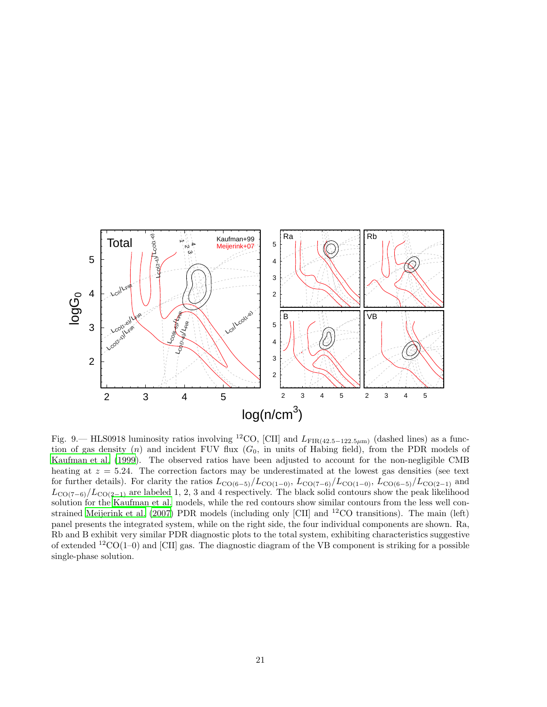

<span id="page-20-0"></span>Fig. 9.— HLS0918 luminosity ratios involving <sup>12</sup>CO, [CII] and  $L_{\text{FIR}(42.5-122.5\mu\text{m})}$  (dashed lines) as a function of gas density  $(n)$  and incident FUV flux  $(G_0,$  in units of Habing field), from the PDR models of [Kaufman et al. \(1999\)](#page-26-4). The observed ratios have been adjusted to account for the non-negligible CMB heating at  $z = 5.24$ . The correction factors may be underestimated at the lowest gas densities (see text for further details). For clarity the ratios  $L_{\text{CO}(6-5)}/L_{\text{CO}(1-0)}$ ,  $L_{\text{CO}(7-6)}/L_{\text{CO}(1-0)}$ ,  $L_{\text{CO}(6-5)}/L_{\text{CO}(2-1)}$  and  $L_{\text{CO}(7-6)}/L_{\text{CO}(2-1)}$  are labeled 1, 2, 3 and 4 respectively. The black solid contours show the peak likelihood solution for the [Kaufman et al.](#page-26-4) models, while the red contours show similar contours from the less well constrained [Meijerink et al. \(2007\)](#page-26-5) PDR models (including only [CII] and <sup>12</sup>CO transitions). The main (left) panel presents the integrated system, while on the right side, the four individual components are shown. Ra, Rb and B exhibit very similar PDR diagnostic plots to the total system, exhibiting characteristics suggestive of extended  ${}^{12}CO(1-0)$  and [CII] gas. The diagnostic diagram of the VB component is striking for a possible single-phase solution.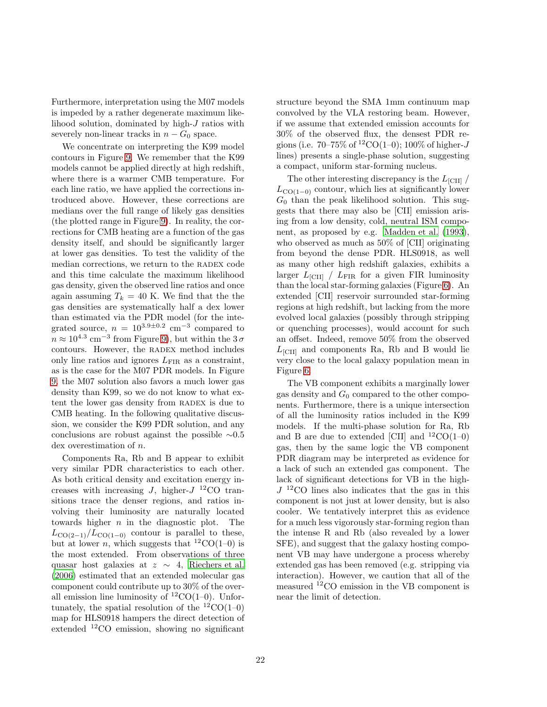Furthermore, interpretation using the M07 models is impeded by a rather degenerate maximum likelihood solution, dominated by high-J ratios with severely non-linear tracks in  $n - G_0$  space.

We concentrate on interpreting the K99 model contours in Figure [9.](#page-20-0) We remember that the K99 models cannot be applied directly at high redshift, where there is a warmer CMB temperature. For each line ratio, we have applied the corrections introduced above. However, these corrections are medians over the full range of likely gas densities (the plotted range in Figure [9\)](#page-20-0). In reality, the corrections for CMB heating are a function of the gas density itself, and should be significantly larger at lower gas densities. To test the validity of the median corrections, we return to the RADEX code and this time calculate the maximum likelihood gas density, given the observed line ratios and once again assuming  $T_k = 40$  K. We find that the the gas densities are systematically half a dex lower than estimated via the PDR model (for the integrated source,  $n = 10^{3.9 \pm 0.2}$  cm<sup>-3</sup> compared to  $n \approx 10^{4.3}$  cm<sup>-3</sup> from Figure [9\)](#page-20-0), but within the  $3\sigma$ contours. However, the RADEX method includes only line ratios and ignores  $L_{\text{FIR}}$  as a constraint, as is the case for the M07 PDR models. In Figure [9,](#page-20-0) the M07 solution also favors a much lower gas density than K99, so we do not know to what extent the lower gas density from RADEX is due to CMB heating. In the following qualitative discussion, we consider the K99 PDR solution, and any conclusions are robust against the possible ∼0.5 dex overestimation of n.

Components Ra, Rb and B appear to exhibit very similar PDR characteristics to each other. As both critical density and excitation energy increases with increasing J, higher- $J$  <sup>12</sup>CO transitions trace the denser regions, and ratios involving their luminosity are naturally located towards higher  $n$  in the diagnostic plot. The  $L_{\text{CO}(2-1)}/L_{\text{CO}(1-0)}$  contour is parallel to these, but at lower *n*, which suggests that  ${}^{12}CO(1-0)$  is the most extended. From observations of three quasar host galaxies at  $z \sim 4$ , [Riechers et al.](#page-26-27) [\(2006\)](#page-26-27) estimated that an extended molecular gas component could contribute up to 30% of the overall emission line luminosity of  ${}^{12}CO(1-0)$ . Unfortunately, the spatial resolution of the  ${}^{12}CO(1-0)$ map for HLS0918 hampers the direct detection of extended <sup>12</sup>CO emission, showing no significant

structure beyond the SMA 1mm continuum map convolved by the VLA restoring beam. However, if we assume that extended emission accounts for 30% of the observed flux, the densest PDR regions (i.e.  $70-75\%$  of  ${}^{12}CO(1-0)$ ;  $100\%$  of higher-J lines) presents a single-phase solution, suggesting a compact, uniform star-forming nucleus.

The other interesting discrepancy is the  $L_{\text{[CII]}}$  $L_{\text{CO}(1-0)}$  contour, which lies at significantly lower  $G_0$  than the peak likelihood solution. This suggests that there may also be [CII] emission arising from a low density, cold, neutral ISM component, as proposed by e.g. [Madden et al. \(1993\)](#page-26-1), who observed as much as 50% of [CII] originating from beyond the dense PDR. HLS0918, as well as many other high redshift galaxies, exhibits a larger  $L_{\text{[CII]}}$  /  $L_{\text{FIR}}$  for a given FIR luminosity than the local star-forming galaxies (Figure [6\)](#page-14-0). An extended [CII] reservoir surrounded star-forming regions at high redshift, but lacking from the more evolved local galaxies (possibly through stripping or quenching processes), would account for such an offset. Indeed, remove 50% from the observed  $L<sub>[CII]</sub>$  and components Ra, Rb and B would lie very close to the local galaxy population mean in Figure [6.](#page-14-0)

The VB component exhibits a marginally lower gas density and  $G_0$  compared to the other components. Furthermore, there is a unique intersection of all the luminosity ratios included in the K99 models. If the multi-phase solution for Ra, Rb and B are due to extended [CII] and  ${}^{12}CO(1-0)$ gas, then by the same logic the VB component PDR diagram may be interpreted as evidence for a lack of such an extended gas component. The lack of significant detections for VB in the high- $J<sup>12</sup>CO$  lines also indicates that the gas in this component is not just at lower density, but is also cooler. We tentatively interpret this as evidence for a much less vigorously star-forming region than the intense R and Rb (also revealed by a lower SFE), and suggest that the galaxy hosting component VB may have undergone a process whereby extended gas has been removed (e.g. stripping via interaction). However, we caution that all of the measured  ${}^{12}$ CO emission in the VB component is near the limit of detection.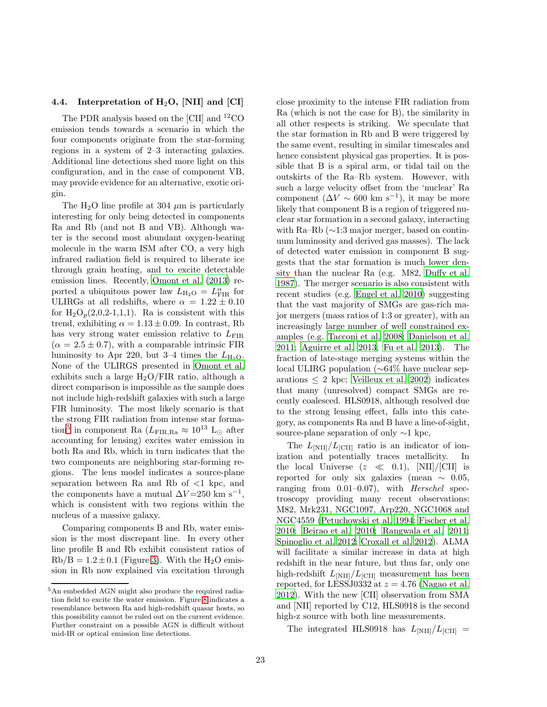## <span id="page-22-0"></span>4.4. Interpretation of  $H_2O$ , [NII] and [CI]

The PDR analysis based on the [CII] and <sup>12</sup>CO emission tends towards a scenario in which the four components originate from the star-forming regions in a system of 2–3 interacting galaxies. Additional line detections shed more light on this configuration, and in the case of component VB, may provide evidence for an alternative, exotic origin.

The H<sub>2</sub>O line profile at 304  $\mu$ m is particularly interesting for only being detected in components Ra and Rb (and not B and VB). Although water is the second most abundant oxygen-bearing molecule in the warm ISM after CO, a very high infrared radiation field is required to liberate ice through grain heating, and to excite detectable emission lines. Recently, [Omont et al. \(2013](#page-26-28)) reported a ubiquitous power law  $L_{\text{H}_2\text{O}} = L_{\text{FIR}}^{\alpha}$  for ULIRGs at all redshifts, where  $\alpha = 1.22 \pm 0.10$ for  $H_2O_p(2,0,2-1,1,1)$ . Ra is consistent with this trend, exhibiting  $\alpha = 1.13 \pm 0.09$ . In contrast, Rb has very strong water emission relative to  $L_{\text{FIR}}$  $(\alpha = 2.5 \pm 0.7)$ , with a comparable intrinsic FIR luminosity to Apr 220, but 3–4 times the  $L_{H_2O}$ . None of the ULIRGS presented in [Omont et al.](#page-26-28) exhibits such a large  $H_2O/FIR$  ratio, although a direct comparison is impossible as the sample does not include high-redshift galaxies with such a large FIR luminosity. The most likely scenario is that the strong FIR radiation from intense star forma-tion<sup>[5](#page-27-26)</sup> in component Ra ( $L_{\rm FIR, Ra} \approx 10^{13}$  L<sub>⊙</sub> after accounting for lensing) excites water emission in both Ra and Rb, which in turn indicates that the two components are neighboring star-forming regions. The lens model indicates a source-plane separation between Ra and Rb of  $\leq 1$  kpc, and the components have a mutual  $\Delta V = 250$  km s<sup>-1</sup>, which is consistent with two regions within the nucleus of a massive galaxy.

Comparing components B and Rb, water emission is the most discrepant line. In every other line profile B and Rb exhibit consistent ratios of  $Rb/B = 1.2 \pm 0.1$  (Figure [3\)](#page-7-0). With the H<sub>2</sub>O emission in Rb now explained via excitation through

close proximity to the intense FIR radiation from Ra (which is not the case for B), the similarity in all other respects is striking. We speculate that the star formation in Rb and B were triggered by the same event, resulting in similar timescales and hence consistent physical gas properties. It is possible that B is a spiral arm, or tidal tail on the outskirts of the Ra–Rb system. However, with such a large velocity offset from the 'nuclear' Ra component  $(\Delta V \sim 600 \text{ km s}^{-1})$ , it may be more likely that component B is a region of triggered nuclear star formation in a second galaxy, interacting with Ra–Rb (∼1:3 major merger, based on continuum luminosity and derived gas masses). The lack of detected water emission in component B suggests that the star formation is much lower density than the nuclear Ra (e.g. M82, [Duffy et al.](#page-25-27) [1987\)](#page-25-27). The merger scenario is also consistent with recent studies (e.g. [Engel et al. 2010\)](#page-25-28) suggesting that the vast majority of SMGs are gas-rich major mergers (mass ratios of 1:3 or greater), with an increasingly large number of well constrained examples (e.g. [Tacconi et al. 2008;](#page-27-27) [Danielson et al.](#page-25-2) [2011;](#page-25-2) [Aguirre et al. 2013;](#page-24-1) [Fu et al. 2013\)](#page-25-24). The fraction of late-stage merging systems within the local ULIRG population (∼64% have nuclear separations  $\leq 2$  kpc; [Veilleux et al. 2002\)](#page-27-28) indicates that many (unresolved) compact SMGs are recently coalesced. HLS0918, although resolved due to the strong lensing effect, falls into this category, as components Ra and B have a line-of-sight, source-plane separation of only ∼1 kpc,

The  $L_{\text{[NII]}}/L_{\text{[CII]}}$  ratio is an indicator of ionization and potentially traces metallicity. In the local Universe  $(z \ll 0.1)$ , [NII]/[CII] is reported for only six galaxies (mean  $\sim 0.05$ , ranging from  $0.01-0.07$ , with *Herschel* spectroscopy providing many recent observations: M82, Mrk231, NGC1097, Arp220, NGC1068 and NGC4559 [\(Petuchowski et al. 1994;](#page-26-29) [Fischer et al.](#page-25-29) [2010;](#page-25-29) [Beirao et al. 2010](#page-25-30); [Rangwala et al. 2011;](#page-26-18) [Spinoglio et al. 2012](#page-27-29); [Croxall et al. 2012](#page-25-31)). ALMA will facilitate a similar increase in data at high redshift in the near future, but thus far, only one high-redshift  $L_{\text{[NII]}}/L_{\text{[CII]}}$  measurement has been reported, for LESSJ0332 at  $z = 4.76$  [\(Nagao et al.](#page-26-2) [2012\)](#page-26-2). With the new [CII] observation from SMA and [NII] reported by C12, HLS0918 is the second high-z source with both line measurements.

The integrated HLS0918 has  $L_{\text{[NII]}}/L_{\text{[CII]}} =$ 

<sup>5</sup>An embedded AGN might also produce the required radiation field to excite the water emission. Figure [8](#page-19-0) indicates a resemblance between Ra and high-redshift quasar hosts, so this possibility cannot be ruled out on the current evidence. Further constraint on a possible AGN is difficult without mid-IR or optical emission line detections.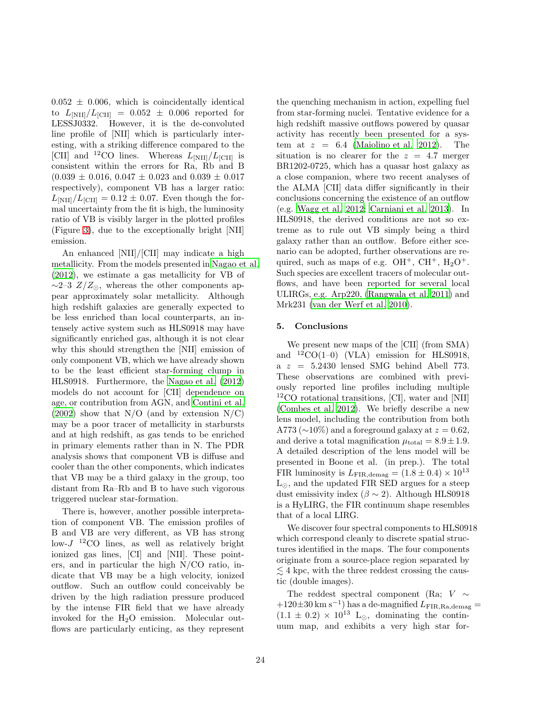$0.052 \pm 0.006$ , which is coincidentally identical to  $L_{\text{[NII]}}/L_{\text{[CII]}} = 0.052 \pm 0.006$  reported for LESSJ0332. However, it is the de-convoluted line profile of [NII] which is particularly interesting, with a striking difference compared to the [CII] and <sup>12</sup>CO lines. Whereas  $L_{\text{[NII]}}/L_{\text{[CII]}}$  is consistent within the errors for Ra, Rb and B  $(0.039 \pm 0.016, 0.047 \pm 0.023,$  and  $(0.039 \pm 0.017)$ respectively), component VB has a larger ratio:  $L_{\text{[NII]}}/L_{\text{[CII]}} = 0.12 \pm 0.07$ . Even though the formal uncertainty from the fit is high, the luminosity ratio of VB is visibly larger in the plotted profiles (Figure [3\)](#page-7-0), due to the exceptionally bright [NII] emission.

An enhanced [NII]/[CII] may indicate a high metallicity. From the models presented in [Nagao et al.](#page-26-2) [\(2012\)](#page-26-2), we estimate a gas metallicity for VB of  $\sim$ 2–3  $Z/Z_{\odot}$ , whereas the other components appear approximately solar metallicity. Although high redshift galaxies are generally expected to be less enriched than local counterparts, an intensely active system such as HLS0918 may have significantly enriched gas, although it is not clear why this should strengthen the [NII] emission of only component VB, which we have already shown to be the least efficient star-forming clump in HLS0918. Furthermore, the [Nagao et al. \(2012\)](#page-26-2) models do not account for [CII] dependence on age, or contribution from AGN, and [Contini et al.](#page-25-1)  $(2002)$  show that N/O (and by extension N/C) may be a poor tracer of metallicity in starbursts and at high redshift, as gas tends to be enriched in primary elements rather than in N. The PDR analysis shows that component VB is diffuse and cooler than the other components, which indicates that VB may be a third galaxy in the group, too distant from Ra–Rb and B to have such vigorous triggered nuclear star-formation.

There is, however, another possible interpretation of component VB. The emission profiles of B and VB are very different, as VB has strong  $\text{low-}J$ <sup>12</sup>CO lines, as well as relatively bright ionized gas lines, [CI] and [NII]. These pointers, and in particular the high N/CO ratio, indicate that VB may be a high velocity, ionized outflow. Such an outflow could conceivably be driven by the high radiation pressure produced by the intense FIR field that we have already invoked for the H2O emission. Molecular outflows are particularly enticing, as they represent the quenching mechanism in action, expelling fuel from star-forming nuclei. Tentative evidence for a high redshift massive outflows powered by quasar activity has recently been presented for a system at  $z = 6.4$  [\(Maiolino et al. 2012\)](#page-26-30). The situation is no clearer for the  $z = 4.7$  merger BR1202-0725, which has a quasar host galaxy as a close companion, where two recent analyses of the ALMA [CII] data differ significantly in their conclusions concerning the existence of an outflow (e.g. [Wagg et al. 2012](#page-27-16); [Carniani et al. 2013\)](#page-25-32). In HLS0918, the derived conditions are not so extreme as to rule out VB simply being a third galaxy rather than an outflow. Before either scenario can be adopted, further observations are required, such as maps of e.g.  $OH^+$ ,  $CH^+$ ,  $H_2O^+$ . Such species are excellent tracers of molecular outflows, and have been reported for several local ULIRGs, e.g. Arp220, [\(Rangwala et al. 2011\)](#page-26-18) and Mrk231 [\(van der Werf et al. 2010\)](#page-27-30).

#### <span id="page-23-0"></span>5. Conclusions

We present new maps of the [CII] (from SMA) and  ${}^{12}CO(1-0)$  (VLA) emission for HLS0918,  $a \, z = 5.2430$  lensed SMG behind Abell 773. These observations are combined with previously reported line profiles including multiple <sup>12</sup>CO rotational transitions, [CI], water and [NII] [\(Combes et al. 2012\)](#page-25-8). We briefly describe a new lens model, including the contribution from both A773 ( $\sim$ 10%) and a foreground galaxy at  $z = 0.62$ , and derive a total magnification  $\mu_{\text{total}} = 8.9 \pm 1.9$ . A detailed description of the lens model will be presented in Boone et al. (in prep.). The total FIR luminosity is  $L_{\text{FIR,demag}} = (1.8 \pm 0.4) \times 10^{13}$  $L_{\odot}$ , and the updated FIR SED argues for a steep dust emissivity index ( $\beta \sim 2$ ). Although HLS0918 is a HyLIRG, the FIR continuum shape resembles that of a local LIRG.

We discover four spectral components to HLS0918 which correspond cleanly to discrete spatial structures identified in the maps. The four components originate from a source-place region separated by  $\lesssim$  4 kpc, with the three reddest crossing the caustic (double images).

The reddest spectral component (Ra;  $V \sim$  $+120\pm30$  km s<sup>-1</sup>) has a de-magnified  $L_{\rm FIR, Ra, demag}$  =  $(1.1 \pm 0.2) \times 10^{13}$  L<sub>⊙</sub>, dominating the continuum map, and exhibits a very high star for-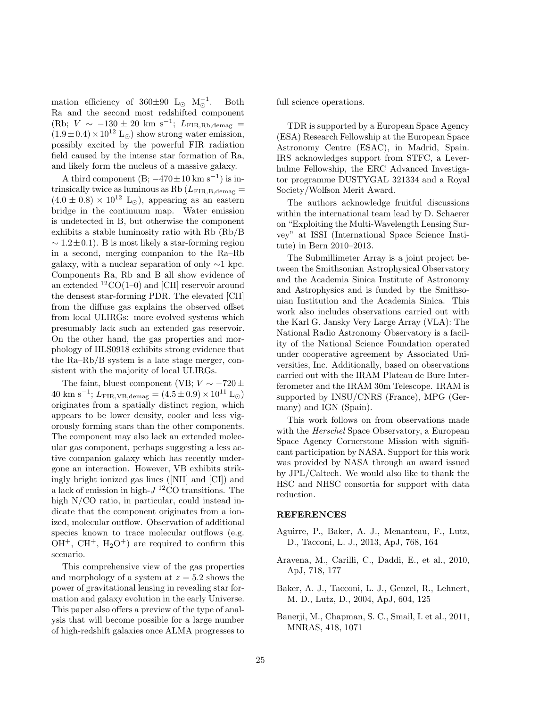mation efficiency of  $360\pm90$  L<sub>☉</sub> M<sub>☉</sub><sup>-1</sup>. Both Ra and the second most redshifted component  $(Rb; V \sim -130 \pm 20 \text{ km s}^{-1}; L_{\text{FIR},Rb,\text{demag}} =$  $(1.9\pm0.4)\times10^{12}$  L<sub>⊙</sub>) show strong water emission, possibly excited by the powerful FIR radiation field caused by the intense star formation of Ra, and likely form the nucleus of a massive galaxy.

A third component  $(B; -470 \pm 10 \text{ km s}^{-1})$  is intrinsically twice as luminous as Rb  $(L_{\text{FIR,B,demag}} =$  $(4.0 \pm 0.8) \times 10^{12}$  L<sub>⊙</sub>), appearing as an eastern bridge in the continuum map. Water emission is undetected in B, but otherwise the component exhibits a stable luminosity ratio with Rb (Rb/B  $\sim 1.2 \pm 0.1$ ). B is most likely a star-forming region in a second, merging companion to the Ra–Rb galaxy, with a nuclear separation of only  $\sim$ 1 kpc. Components Ra, Rb and B all show evidence of an extended  ${}^{12}CO(1-0)$  and [CII] reservoir around the densest star-forming PDR. The elevated [CII] from the diffuse gas explains the observed offset from local ULIRGs: more evolved systems which presumably lack such an extended gas reservoir. On the other hand, the gas properties and morphology of HLS0918 exhibits strong evidence that the Ra–Rb/B system is a late stage merger, consistent with the majority of local ULIRGs.

The faint, bluest component (VB;  $V \sim -720 \pm$  $40 \text{ km s}^{-1}$ ;  $L_{\text{FIR,VB,demag}} = (4.5 \pm 0.9) \times 10^{11} \text{ L}_{\odot}$ originates from a spatially distinct region, which appears to be lower density, cooler and less vigorously forming stars than the other components. The component may also lack an extended molecular gas component, perhaps suggesting a less active companion galaxy which has recently undergone an interaction. However, VB exhibits strikingly bright ionized gas lines ([NII] and [CI]) and a lack of emission in high- $J<sup>12</sup>CO$  transitions. The high N/CO ratio, in particular, could instead indicate that the component originates from a ionized, molecular outflow. Observation of additional species known to trace molecular outflows (e.g.  $OH^+$ ,  $CH^+$ ,  $H_2O^+$ ) are required to confirm this scenario.

This comprehensive view of the gas properties and morphology of a system at  $z = 5.2$  shows the power of gravitational lensing in revealing star formation and galaxy evolution in the early Universe. This paper also offers a preview of the type of analysis that will become possible for a large number of high-redshift galaxies once ALMA progresses to full science operations.

TDR is supported by a European Space Agency (ESA) Research Fellowship at the European Space Astronomy Centre (ESAC), in Madrid, Spain. IRS acknowledges support from STFC, a Leverhulme Fellowship, the ERC Advanced Investigator programme DUSTYGAL 321334 and a Royal Society/Wolfson Merit Award.

The authors acknowledge fruitful discussions within the international team lead by D. Schaerer on "Exploiting the Multi-Wavelength Lensing Survey" at ISSI (International Space Science Institute) in Bern 2010–2013.

The Submillimeter Array is a joint project between the Smithsonian Astrophysical Observatory and the Academia Sinica Institute of Astronomy and Astrophysics and is funded by the Smithsonian Institution and the Academia Sinica. This work also includes observations carried out with the Karl G. Jansky Very Large Array (VLA): The National Radio Astronomy Observatory is a facility of the National Science Foundation operated under cooperative agreement by Associated Universities, Inc. Additionally, based on observations carried out with the IRAM Plateau de Bure Interferometer and the IRAM 30m Telescope. IRAM is supported by INSU/CNRS (France), MPG (Germany) and IGN (Spain).

This work follows on from observations made with the *Herschel* Space Observatory, a European Space Agency Cornerstone Mission with significant participation by NASA. Support for this work was provided by NASA through an award issued by JPL/Caltech. We would also like to thank the HSC and NHSC consortia for support with data reduction.

### REFERENCES

- <span id="page-24-1"></span>Aguirre, P., Baker, A. J., Menanteau, F., Lutz, D., Tacconi, L. J., 2013, ApJ, 768, 164
- Aravena, M., Carilli, C., Daddi, E., et al., 2010, ApJ, 718, 177
- <span id="page-24-0"></span>Baker, A. J., Tacconi, L. J., Genzel, R., Lehnert, M. D., Lutz, D., 2004, ApJ, 604, 125
- Banerji, M., Chapman, S. C., Smail, I. et al., 2011, MNRAS, 418, 1071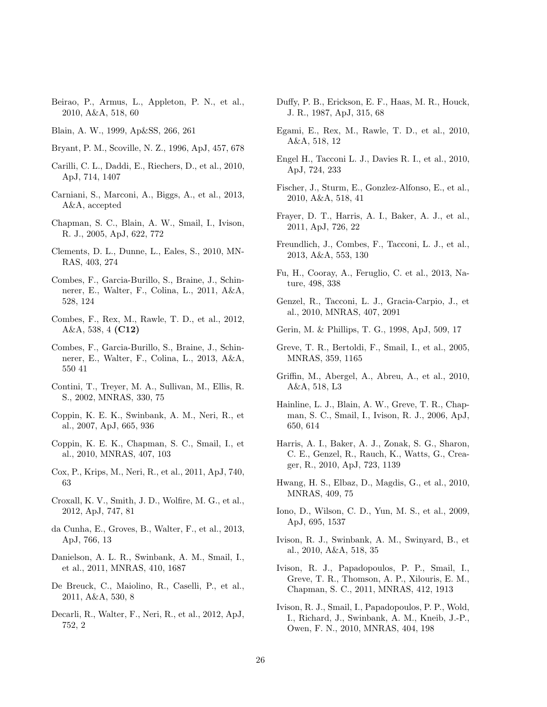<span id="page-25-30"></span>Beirao, P., Armus, L., Appleton, P. N., et al., 2010, A&A, 518, 60

<span id="page-25-7"></span>Blain, A. W., 1999, Ap&SS, 266, 261

- <span id="page-25-19"></span>Bryant, P. M., Scoville, N. Z., 1996, ApJ, 457, 678
- <span id="page-25-23"></span>Carilli, C. L., Daddi, E., Riechers, D., et al., 2010, ApJ, 714, 1407
- <span id="page-25-32"></span>Carniani, S., Marconi, A., Biggs, A., et al., 2013, A&A, accepted
- <span id="page-25-3"></span>Chapman, S. C., Blain, A. W., Smail, I., Ivison, R. J., 2005, ApJ, 622, 772
- <span id="page-25-12"></span>Clements, D. L., Dunne, L., Eales, S., 2010, MN-RAS, 403, 274
- <span id="page-25-16"></span>Combes, F., Garcia-Burillo, S., Braine, J., Schinnerer, E., Walter, F., Colina, L., 2011, A&A, 528, 124
- <span id="page-25-8"></span>Combes, F., Rex, M., Rawle, T. D., et al., 2012, A&A, 538, 4 (C12)
- <span id="page-25-17"></span>Combes, F., Garcia-Burillo, S., Braine, J., Schinnerer, E., Walter, F., Colina, L., 2013, A&A, 550 41
- <span id="page-25-1"></span>Contini, T., Treyer, M. A., Sullivan, M., Ellis, R. S., 2002, MNRAS, 330, 75
- <span id="page-25-5"></span>Coppin, K. E. K., Swinbank, A. M., Neri, R., et al., 2007, ApJ, 665, 936
- <span id="page-25-4"></span>Coppin, K. E. K., Chapman, S. C., Smail, I., et al., 2010, MNRAS, 407, 103
- <span id="page-25-6"></span>Cox, P., Krips, M., Neri, R., et al., 2011, ApJ, 740, 63
- <span id="page-25-31"></span>Croxall, K. V., Smith, J. D., Wolfire, M. G., et al., 2012, ApJ, 747, 81
- <span id="page-25-14"></span>da Cunha, E., Groves, B., Walter, F., et al., 2013, ApJ, 766, 13
- <span id="page-25-2"></span>Danielson, A. L. R., Swinbank, A. M., Smail, I., et al., 2011, MNRAS, 410, 1687
- <span id="page-25-15"></span>De Breuck, C., Maiolino, R., Caselli, P., et al., 2011, A&A, 530, 8
- <span id="page-25-22"></span>Decarli, R., Walter, F., Neri, R., et al., 2012, ApJ, 752, 2
- <span id="page-25-27"></span>Duffy, P. B., Erickson, E. F., Haas, M. R., Houck, J. R., 1987, ApJ, 315, 68
- <span id="page-25-9"></span>Egami, E., Rex, M., Rawle, T. D., et al., 2010, A&A, 518, 12
- <span id="page-25-28"></span>Engel H., Tacconi L. J., Davies R. I., et al., 2010, ApJ, 724, 233
- <span id="page-25-29"></span>Fischer, J., Sturm, E., Gonzlez-Alfonso, E., et al., 2010, A&A, 518, 41
- Frayer, D. T., Harris, A. I., Baker, A. J., et al., 2011, ApJ, 726, 22
- <span id="page-25-25"></span>Freundlich, J., Combes, F., Tacconi, L. J., et al., 2013, A&A, 553, 130
- <span id="page-25-24"></span>Fu, H., Cooray, A., Feruglio, C. et al., 2013, Nature, 498, 338
- <span id="page-25-21"></span>Genzel, R., Tacconi, L. J., Gracia-Carpio, J., et al., 2010, MNRAS, 407, 2091
- <span id="page-25-0"></span>Gerin, M. & Phillips, T. G., 1998, ApJ, 509, 17
- <span id="page-25-20"></span>Greve, T. R., Bertoldi, F., Smail, I., et al., 2005, MNRAS, 359, 1165
- <span id="page-25-10"></span>Griffin, M., Abergel, A., Abreu, A., et al., 2010, A&A, 518, L3
- Hainline, L. J., Blain, A. W., Greve, T. R., Chapman, S. C., Smail, I., Ivison, R. J., 2006, ApJ, 650, 614
- Harris, A. I., Baker, A. J., Zonak, S. G., Sharon, C. E., Genzel, R., Rauch, K., Watts, G., Creager, R., 2010, ApJ, 723, 1139
- <span id="page-25-13"></span>Hwang, H. S., Elbaz, D., Magdis, G., et al., 2010, MNRAS, 409, 75
- Iono, D., Wilson, C. D., Yun, M. S., et al., 2009, ApJ, 695, 1537
- <span id="page-25-26"></span>Ivison, R. J., Swinbank, A. M., Swinyard, B., et al., 2010, A&A, 518, 35
- <span id="page-25-11"></span>Ivison, R. J., Papadopoulos, P. P., Smail, I., Greve, T. R., Thomson, A. P., Xilouris, E. M., Chapman, S. C., 2011, MNRAS, 412, 1913
- <span id="page-25-18"></span>Ivison, R. J., Smail, I., Papadopoulos, P. P., Wold, I., Richard, J., Swinbank, A. M., Kneib, J.-P., Owen, F. N., 2010, MNRAS, 404, 198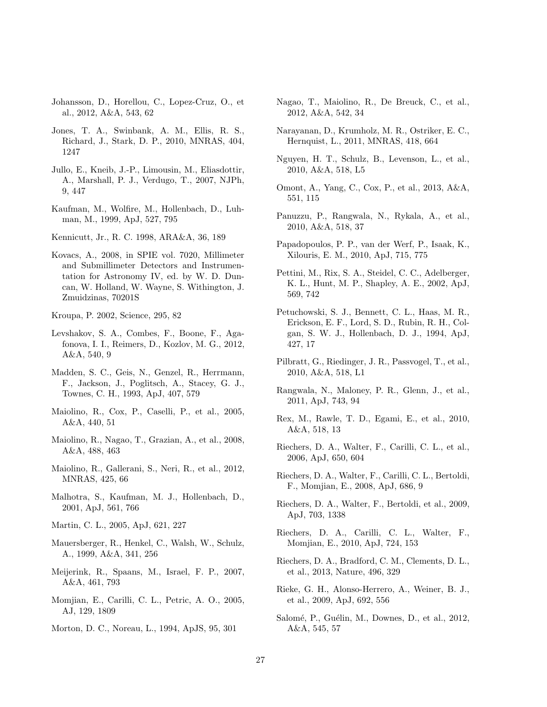- Johansson, D., Horellou, C., Lopez-Cruz, O., et al., 2012, A&A, 543, 62
- <span id="page-26-8"></span>Jones, T. A., Swinbank, A. M., Ellis, R. S., Richard, J., Stark, D. P., 2010, MNRAS, 404, 1247
- <span id="page-26-20"></span>Jullo, E., Kneib, J.-P., Limousin, M., Eliasdottir, A., Marshall, P. J., Verdugo, T., 2007, NJPh, 9, 447
- <span id="page-26-4"></span>Kaufman, M., Wolfire, M., Hollenbach, D., Luhman, M., 1999, ApJ, 527, 795

<span id="page-26-15"></span>Kennicutt, Jr., R. C. 1998, ARA&A, 36, 189

<span id="page-26-13"></span>Kovacs, A., 2008, in SPIE vol. 7020, Millimeter and Submillimeter Detectors and Instrumentation for Astronomy IV, ed. by W. D. Duncan, W. Holland, W. Wayne, S. Withington, J. Zmuidzinas, 70201S

<span id="page-26-16"></span>Kroupa, P. 2002, Science, 295, 82

- <span id="page-26-9"></span>Levshakov, S. A., Combes, F., Boone, F., Agafonova, I. I., Reimers, D., Kozlov, M. G., 2012, A&A, 540, 9
- <span id="page-26-1"></span>Madden, S. C., Geis, N., Genzel, R., Herrmann, F., Jackson, J., Poglitsch, A., Stacey, G. J., Townes, C. H., 1993, ApJ, 407, 579
- <span id="page-26-0"></span>Maiolino, R., Cox, P., Caselli, P., et al., 2005, A&A, 440, 51
- Maiolino, R., Nagao, T., Grazian, A., et al., 2008, A&A, 488, 463
- <span id="page-26-30"></span>Maiolino, R., Gallerani, S., Neri, R., et al., 2012, MNRAS, 425, 66
- <span id="page-26-21"></span>Malhotra, S., Kaufman, M. J., Hollenbach, D., 2001, ApJ, 561, 766
- Martin, C. L., 2005, ApJ, 621, 227
- Mauersberger, R., Henkel, C., Walsh, W., Schulz, A., 1999, A&A, 341, 256
- <span id="page-26-5"></span>Meijerink, R., Spaans, M., Israel, F. P., 2007, A&A, 461, 793
- <span id="page-26-25"></span>Momjian, E., Carilli, C. L., Petric, A. O., 2005, AJ, 129, 1809
- <span id="page-26-12"></span>Morton, D. C., Noreau, L., 1994, ApJS, 95, 301
- <span id="page-26-2"></span>Nagao, T., Maiolino, R., De Breuck, C., et al., 2012, A&A, 542, 34
- <span id="page-26-22"></span>Narayanan, D., Krumholz, M. R., Ostriker, E. C., Hernquist, L., 2011, MNRAS, 418, 664
- <span id="page-26-11"></span>Nguyen, H. T., Schulz, B., Levenson, L., et al., 2010, A&A, 518, L5
- <span id="page-26-28"></span>Omont, A., Yang, C., Cox, P., et al., 2013, A&A, 551, 115
- <span id="page-26-17"></span>Panuzzu, P., Rangwala, N., Rykala, A., et al., 2010, A&A, 518, 37
- <span id="page-26-3"></span>Papadopoulos, P. P., van der Werf, P., Isaak, K., Xilouris, E. M., 2010, ApJ, 715, 775
- Pettini, M., Rix, S. A., Steidel, C. C., Adelberger, K. L., Hunt, M. P., Shapley, A. E., 2002, ApJ, 569, 742
- <span id="page-26-29"></span>Petuchowski, S. J., Bennett, C. L., Haas, M. R., Erickson, E. F., Lord, S. D., Rubin, R. H., Colgan, S. W. J., Hollenbach, D. J., 1994, ApJ, 427, 17
- <span id="page-26-10"></span>Pilbratt, G., Riedinger, J. R., Passvogel, T., et al., 2010, A&A, 518, L1
- <span id="page-26-18"></span>Rangwala, N., Maloney, P. R., Glenn, J., et al., 2011, ApJ, 743, 94
- <span id="page-26-19"></span>Rex, M., Rawle, T. D., Egami, E., et al., 2010, A&A, 518, 13
- <span id="page-26-27"></span>Riechers, D. A., Walter, F., Carilli, C. L., et al., 2006, ApJ, 650, 604
- <span id="page-26-24"></span>Riechers, D. A., Walter, F., Carilli, C. L., Bertoldi, F., Momjian, E., 2008, ApJ, 686, 9
- <span id="page-26-6"></span>Riechers, D. A., Walter, F., Bertoldi, et al., 2009, ApJ, 703, 1338
- <span id="page-26-23"></span>Riechers, D. A., Carilli, C. L., Walter, F., Momjian, E., 2010, ApJ, 724, 153
- <span id="page-26-7"></span>Riechers, D. A., Bradford, C. M., Clements, D. L., et al., 2013, Nature, 496, 329
- <span id="page-26-14"></span>Rieke, G. H., Alonso-Herrero, A., Weiner, B. J., et al., 2009, ApJ, 692, 556
- <span id="page-26-26"></span>Salomé, P., Guélin, M., Downes, D., et al., 2012, A&A, 545, 57